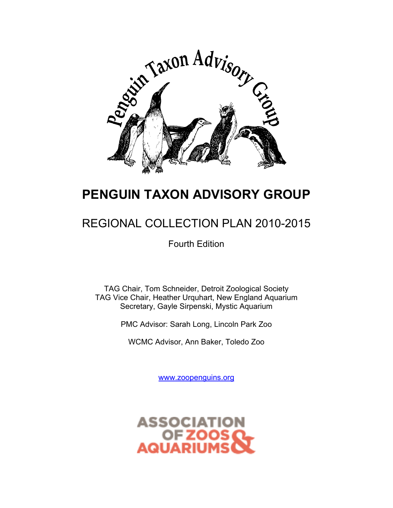

## **PENGUIN TAXON ADVISORY GROUP**

## REGIONAL COLLECTION PLAN 2010-2015

Fourth Edition

TAG Chair, Tom Schneider, Detroit Zoological Society TAG Vice Chair, Heather Urquhart, New England Aquarium Secretary, Gayle Sirpenski, Mystic Aquarium

PMC Advisor: Sarah Long, Lincoln Park Zoo

WCMC Advisor, Ann Baker, Toledo Zoo

www.zoopenguins.org

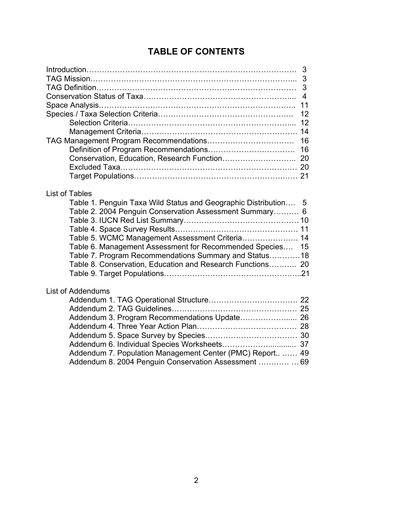## **TABLE OF CONTENTS**

| 3                                                               |
|-----------------------------------------------------------------|
|                                                                 |
| 3                                                               |
| $\overline{4}$                                                  |
| 11                                                              |
| 12                                                              |
| 12                                                              |
|                                                                 |
| 16                                                              |
| 16                                                              |
|                                                                 |
|                                                                 |
|                                                                 |
|                                                                 |
| <b>List of Tables</b>                                           |
| Table 1. Penguin Taxa Wild Status and Geographic Distribution 5 |
| Table 2. 2004 Penguin Conservation Assessment Summary 6         |
|                                                                 |
|                                                                 |
| Table 5. WCMC Management Assessment Criteria 14                 |
| Table 6. Management Assessment for Recommended Species<br>15    |
| Table 7. Program Recommendations Summary and Status18           |
| Table 8. Conservation, Education and Research Functions 20      |
|                                                                 |
|                                                                 |
| <b>List of Addendums</b>                                        |
|                                                                 |
|                                                                 |
| Addendum 3. Program Recommendations Update 26                   |
|                                                                 |
|                                                                 |
|                                                                 |
| Addendum 7. Population Management Center (PMC) Report 49        |
| Addendum 8. 2004 Penguin Conservation Assessment  69            |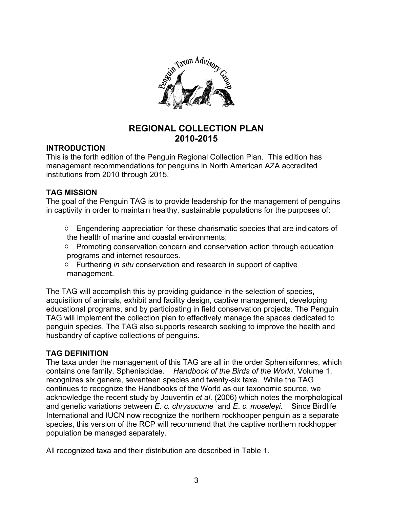

### **REGIONAL COLLECTION PLAN 2010-2015**

#### **INTRODUCTION**

This is the forth edition of the Penguin Regional Collection Plan. This edition has management recommendations for penguins in North American AZA accredited institutions from 2010 through 2015.

#### **TAG MISSION**

The goal of the Penguin TAG is to provide leadership for the management of penguins in captivity in order to maintain healthy, sustainable populations for the purposes of:

- $\Diamond$  Engendering appreciation for these charismatic species that are indicators of the health of marine and coastal environments;
- $\Diamond$  Promoting conservation concern and conservation action through education programs and internet resources.
- ¡ Furthering *in situ* conservation and research in support of captive management.

The TAG will accomplish this by providing guidance in the selection of species, acquisition of animals, exhibit and facility design, captive management, developing educational programs, and by participating in field conservation projects. The Penguin TAG will implement the collection plan to effectively manage the spaces dedicated to penguin species. The TAG also supports research seeking to improve the health and husbandry of captive collections of penguins.

#### **TAG DEFINITION**

The taxa under the management of this TAG are all in the order Sphenisiformes, which contains one family, Spheniscidae*. Handbook of the Birds of the World*, Volume 1, recognizes six genera, seventeen species and twenty-six taxa. While the TAG continues to recognize the Handbooks of the World as our taxonomic source, we acknowledge the recent study by Jouventin *et al*. (2006) which notes the morphological and genetic variations between *E. c. chrysocome* and *E*. *c. moseleyi.* Since Birdlife International and IUCN now recognize the northern rockhopper penguin as a separate species, this version of the RCP will recommend that the captive northern rockhopper population be managed separately.

All recognized taxa and their distribution are described in Table 1.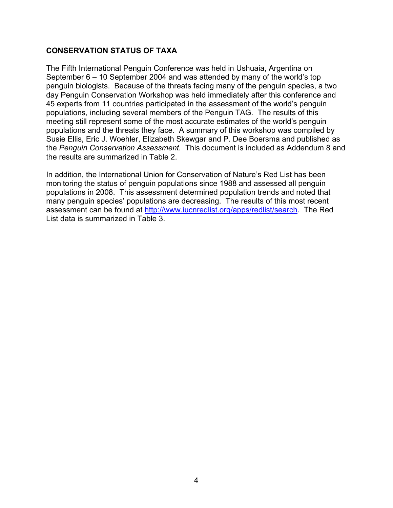#### **CONSERVATION STATUS OF TAXA**

The Fifth International Penguin Conference was held in Ushuaia, Argentina on September 6 – 10 September 2004 and was attended by many of the world's top penguin biologists. Because of the threats facing many of the penguin species, a two day Penguin Conservation Workshop was held immediately after this conference and 45 experts from 11 countries participated in the assessment of the world's penguin populations, including several members of the Penguin TAG. The results of this meeting still represent some of the most accurate estimates of the world's penguin populations and the threats they face. A summary of this workshop was compiled by Susie Ellis, Eric J. Woehler, Elizabeth Skewgar and P. Dee Boersma and published as the *Penguin Conservation Assessment.* This document is included as Addendum 8 and the results are summarized in Table 2.

In addition, the International Union for Conservation of Nature's Red List has been monitoring the status of penguin populations since 1988 and assessed all penguin populations in 2008. This assessment determined population trends and noted that many penguin species' populations are decreasing. The results of this most recent assessment can be found at http://www.iucnredlist.org/apps/redlist/search. The Red List data is summarized in Table 3.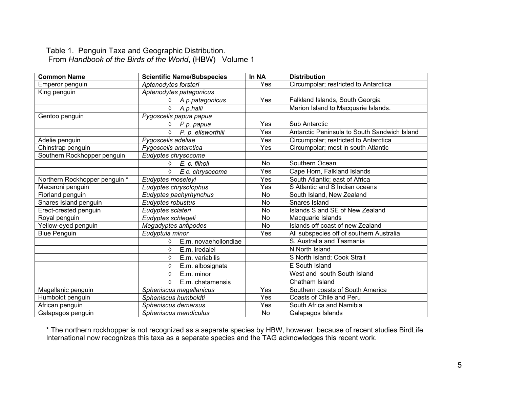#### Table 1. Penguin Taxa and Geographic Distribution. From *Handbook of the Birds of the World*, (HBW) Volume 1

| <b>Common Name</b>            | <b>Scientific Name/Subspecies</b> | In NA     | <b>Distribution</b>                          |
|-------------------------------|-----------------------------------|-----------|----------------------------------------------|
| Emperor penguin               | Aptenodytes forsteri              | Yes       | Circumpolar; restricted to Antarctica        |
| King penguin                  | Aptenodytes patagonicus           |           |                                              |
|                               | A.p.patagonicus<br>♦              | Yes       | Falkland Islands, South Georgia              |
|                               | ♦<br>A.p.halli                    |           | Marion Island to Macquarie Islands.          |
| Gentoo penguin                | Pygoscelis papua papua            |           |                                              |
|                               | $\Diamond$ P.p. papua             | Yes       | <b>Sub Antarctic</b>                         |
|                               | P. p. ellsworthiii<br>♦           | Yes       | Antarctic Peninsula to South Sandwich Island |
| Adelie penguin                | Pygoscelis adeliae                | Yes       | Circumpolar; restricted to Antarctica        |
| Chinstrap penguin             | Pygoscelis antarctica             | Yes       | Circumpolar; most in south Atlantic          |
| Southern Rockhopper penguin   | Eudyptes chrysocome               |           |                                              |
|                               | $\lozenge$ E. c. filholi          | No        | Southern Ocean                               |
|                               | ♦<br>E c. chrysocome              | Yes       | Cape Horn, Falkland Islands                  |
| Northern Rockhopper penguin * | Eudyptes moseleyi                 | Yes       | South Atlantic; east of Africa               |
| Macaroni penguin              | Eudyptes chrysolophus             | Yes       | S Atlantic and S Indian oceans               |
| Fiorland penguin              | Eudyptes pachyrhynchus            | No        | South Island, New Zealand                    |
| Snares Island penguin         | Eudyptes robustus                 | <b>No</b> | Snares Island                                |
| Erect-crested penguin         | Eudyptes sclateri                 | No        | Islands S and SE of New Zealand              |
| Royal penguin                 | Eudyptes schlegeli                | No        | Macquarie Islands                            |
| Yellow-eyed penguin           | Megadyptes antipodes              | <b>No</b> | Islands off coast of new Zealand             |
| <b>Blue Penguin</b>           | Eudyptula minor                   | Yes       | All subspecies off of southern Australia     |
|                               | E.m. novaehollondiae<br>♦         |           | S. Australia and Tasmania                    |
|                               | E.m. iredalei<br>♦                |           | N North Island                               |
|                               | E.m. variabilis<br>♦              |           | S North Island; Cook Strait                  |
|                               | ♦<br>E.m. albosignata             |           | E South Island                               |
|                               | E.m. minor<br>♦                   |           | West and south South Island                  |
|                               | ♦<br>E.m. chatamensis             |           | Chatham Island                               |
| Magellanic penguin            | Spheniscus magellanicus           | Yes       | Southern coasts of South America             |
| Humboldt penguin              | Spheniscus humboldti              | Yes       | Coasts of Chile and Peru                     |
| African penguin               | Spheniscus demersus               | Yes       | South Africa and Namibia                     |
| Galapagos penguin             | Spheniscus mendiculus             | <b>No</b> | Galapagos Islands                            |

\* The northern rockhopper is not recognized as a separate species by HBW, however, because of recent studies BirdLife International now recognizes this taxa as a separate species and the TAG acknowledges this recent work.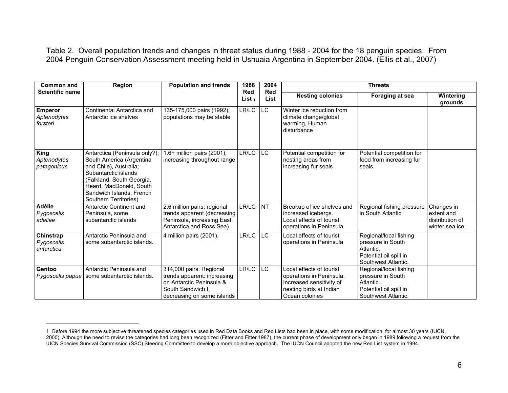Table 2. Overall population trends and changes in threat status during 1988 - 2004 for the 18 penguin species. From 2004 Penguin Conservation Assessment meeting held in Ushuaia Argentina in September 2004. (Ellis et al., 2007)

| <b>Common and</b>                         | Region                                                                                                                                                                                                                   | <b>Population and trends</b>                                                                                                          | 1988                    | 2004               | <b>Threats</b>                                                                                                                |                                                                                                           |                                                               |
|-------------------------------------------|--------------------------------------------------------------------------------------------------------------------------------------------------------------------------------------------------------------------------|---------------------------------------------------------------------------------------------------------------------------------------|-------------------------|--------------------|-------------------------------------------------------------------------------------------------------------------------------|-----------------------------------------------------------------------------------------------------------|---------------------------------------------------------------|
| <b>Scientific name</b>                    |                                                                                                                                                                                                                          |                                                                                                                                       | <b>Red</b><br>List $_1$ | <b>Red</b><br>List | <b>Nesting colonies</b>                                                                                                       | Foraging at sea                                                                                           | Wintering<br>grounds                                          |
| <b>Emperor</b><br>Aptenodytes<br>forsteri | Continental Antarctica and<br>Antarctic ice shelves                                                                                                                                                                      | 135-175,000 pairs (1992);<br>populations may be stable                                                                                | LR/LC                   | LC                 | Winter ice reduction from<br>climate change/global<br>warming, Human<br>disturbance                                           |                                                                                                           |                                                               |
| King<br>Aptenodytes<br>patagonicus        | Antarctica (Peninsula only?);<br>South America (Argentina<br>and Chile), Australia;<br>Subantarctic islands<br>(Falkland, South Georgia,<br>Heard, MacDonald, South<br>Sandwich Islands, French<br>Southern Territories) | 1.6+ million pairs (2001);<br>increasing throughout range                                                                             | LR/LC                   | <b>LC</b>          | Potential competition for<br>nesting areas from<br>increasing fur seals                                                       | Potential competition for<br>food from increasing fur<br>seals                                            |                                                               |
| <b>Adélie</b><br>Pygoscelis<br>adeliae    | Antarctic Continent and<br>Peninsula, some<br>subantarctic islands                                                                                                                                                       | 2.6 million pairs; regional<br>trends apparent (decreasing<br>Peninsula, increasing East<br>Antarctica and Ross Sea)                  | LR/LC                   | NT                 | Breakup of ice shelves and<br>increased icebergs.<br>Local effects of tourist<br>operations in Peninsula                      | Regional fishing pressure<br>in South Atlantic                                                            | Changes in<br>extent and<br>distribution of<br>winter sea ice |
| Chinstrap<br>Pygoscelis<br>antarctica     | Antarctic Peninsula and<br>some subantarctic islands.                                                                                                                                                                    | 4 million pairs (2001).                                                                                                               | LR/LC                   | LC.                | Local effects of tourist<br>operations in Peninsula                                                                           | Regional/local fishing<br>pressure in South<br>Atlantic.<br>Potential oil spill in<br>Southwest Atlantic. |                                                               |
| Gentoo<br>Pygoscelis papua                | Antarctic Peninsula and<br>some subantarctic islands.                                                                                                                                                                    | 314,000 pairs. Regional<br>trends apparent: increasing<br>on Antarctic Peninsula &<br>South Sandwich I,<br>decreasing on some islands | LR/LC                   | LC                 | Local effects of tourist<br>operations in Peninsula.<br>Increased sensitivity of<br>nesting birds at Indian<br>Ocean colonies | Regional/local fishing<br>pressure in South<br>Atlantic.<br>Potential oil spill in<br>Southwest Atlantic. |                                                               |

 $\overline{a}$ 

<sup>1</sup> Before 1994 the more subjective threatened species categories used in Red Data Books and Red Lists had been in place, with some modification, for almost 30 years (IUCN, 2000). Although the need to revise the categories had long been recognized (Fitter and Fitter 1987), the current phase of development only began in 1989 following a request from the IUCN Species Survival Commission (SSC) Steering Committee to develop a more objective approach. The IUCN Council adopted the new Red List system in 1994.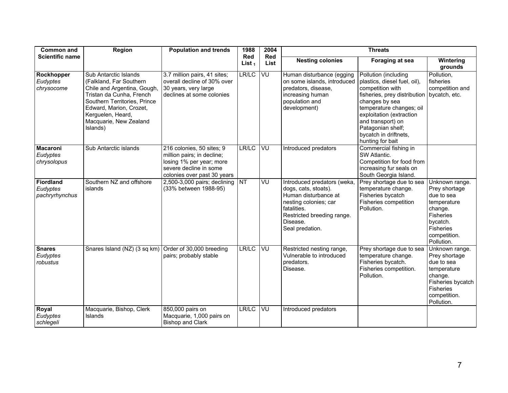| <b>Common and</b>                          | Region                                                                                                                                                                                                                             | <b>Population and trends</b>                                                                                                                 | 1988             | 2004        | <b>Threats</b>                                                                                                                                                                  |                                                                                                                                                                                                                                                                           |                                                                                                                                             |
|--------------------------------------------|------------------------------------------------------------------------------------------------------------------------------------------------------------------------------------------------------------------------------------|----------------------------------------------------------------------------------------------------------------------------------------------|------------------|-------------|---------------------------------------------------------------------------------------------------------------------------------------------------------------------------------|---------------------------------------------------------------------------------------------------------------------------------------------------------------------------------------------------------------------------------------------------------------------------|---------------------------------------------------------------------------------------------------------------------------------------------|
| <b>Scientific name</b>                     |                                                                                                                                                                                                                                    |                                                                                                                                              | Red<br>List $_1$ | Red<br>List | <b>Nesting colonies</b>                                                                                                                                                         | <b>Foraging at sea</b>                                                                                                                                                                                                                                                    | Wintering<br>grounds                                                                                                                        |
| Rockhopper<br>Eudyptes<br>chrysocome       | Sub Antarctic Islands<br>(Falkland, Far Southern)<br>Chile and Argentina, Gough,<br>Tristan da Cunha, French<br>Southern Territories, Prince<br>Edward, Marion, Crozet,<br>Kerguelen, Heard,<br>Macquarie, New Zealand<br>Islands) | 3.7 million pairs, 41 sites;<br>overall decline of 30% over<br>30 years, very large<br>declines at some colonies                             | LR/LC            | VU          | Human disturbance (egging<br>on some islands, introduced<br>predators, disease,<br>increasing human<br>population and<br>development)                                           | Pollution (including<br>plastics, diesel fuel, oil),<br>competition with<br>fisheries, prey distribution<br>changes by sea<br>temperature changes; oil<br>exploitation (extraction<br>and transport) on<br>Patagonian shelf;<br>bycatch in driftnets,<br>hunting for bait | Pollution,<br>fisheries<br>competition and<br>bycatch, etc.                                                                                 |
| <b>Macaroni</b><br>Eudyptes<br>chrysolopus | Sub Antarctic islands                                                                                                                                                                                                              | 216 colonies, 50 sites; 9<br>million pairs; in decline;<br>losing 1% per year; more<br>severe decline in some<br>colonies over past 30 years | LR/LC            | VU          | Introduced predators                                                                                                                                                            | Commercial fishing in<br>SW Atlantic.<br>Competition for food from<br>increasing fur seals on<br>South Georgia Island.                                                                                                                                                    |                                                                                                                                             |
| Fiordland<br>Eudyptes<br>pachryrhynchus    | Southern NZ and offshore<br>islands                                                                                                                                                                                                | 2,500-3,000 pairs; declining<br>(33% between 1988-95)                                                                                        | <b>NT</b>        | VU          | Introduced predators (weka<br>dogs, cats, stoats).<br>Human disturbance at<br>nesting colonies; car<br>fatalities.<br>Restricted breeding range.<br>Disease.<br>Seal predation. | Prey shortage due to sea<br>temperature change.<br>Fisheries bycatch<br>Fisheries competition<br>Pollution.                                                                                                                                                               | Unknown range.<br>Prey shortage<br>due to sea<br>temperature<br>change.<br>Fisheries<br>bycatch.<br>Fisheries<br>competition.<br>Pollution. |
| <b>Snares</b><br>Eudyptes<br>robustus      | Snares Island (NZ) (3 sq km)                                                                                                                                                                                                       | Order of 30,000 breeding<br>pairs; probably stable                                                                                           | LR/LC            | VU          | Restricted nesting range,<br>Vulnerable to introduced<br>predators.<br>Disease.                                                                                                 | Prey shortage due to sea<br>temperature change.<br>Fisheries bycatch.<br>Fisheries competition.<br>Pollution.                                                                                                                                                             | Unknown range.<br>Prey shortage<br>due to sea<br>temperature<br>change.<br>Fisheries bycatch<br>Fisheries<br>competition.<br>Pollution.     |
| Royal<br>Eudyptes<br>schlegeli             | Macquarie, Bishop, Clerk<br>Islands                                                                                                                                                                                                | 850,000 pairs on<br>Macquarie, 1,000 pairs on<br><b>Bishop and Clark</b>                                                                     | LR/LC            | VU          | Introduced predators                                                                                                                                                            |                                                                                                                                                                                                                                                                           |                                                                                                                                             |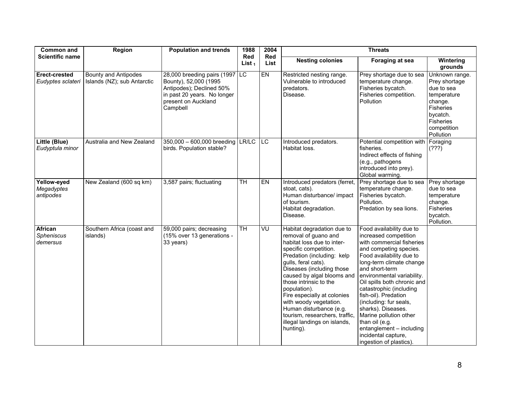| <b>Common and</b>                        | <b>Region</b>                                              | <b>Population and trends</b>                                                                                                                       | 1988                    | 2004        | <b>Threats</b>                                                                                                                                                                                                                                                                                                                                                                                                                         |                                                                                                                                                                                                                                                                                                                                                                                                                                                                              |                                                                                                                                                  |
|------------------------------------------|------------------------------------------------------------|----------------------------------------------------------------------------------------------------------------------------------------------------|-------------------------|-------------|----------------------------------------------------------------------------------------------------------------------------------------------------------------------------------------------------------------------------------------------------------------------------------------------------------------------------------------------------------------------------------------------------------------------------------------|------------------------------------------------------------------------------------------------------------------------------------------------------------------------------------------------------------------------------------------------------------------------------------------------------------------------------------------------------------------------------------------------------------------------------------------------------------------------------|--------------------------------------------------------------------------------------------------------------------------------------------------|
| <b>Scientific name</b>                   |                                                            |                                                                                                                                                    | <b>Red</b><br>List $_1$ | Red<br>List | <b>Nesting colonies</b>                                                                                                                                                                                                                                                                                                                                                                                                                | Foraging at sea                                                                                                                                                                                                                                                                                                                                                                                                                                                              | Wintering<br>grounds                                                                                                                             |
| Erect-crested<br>Eudyptes sclateri       | <b>Bounty and Antipodes</b><br>Islands (NZ); sub Antarctic | 28,000 breeding pairs (1997<br>Bounty), 52,000 (1995<br>Antipodes); Declined 50%<br>in past 20 years. No longer<br>present on Auckland<br>Campbell | <b>IC</b>               | $E$ N       | Restricted nesting range.<br>Vulnerable to introduced<br>predators.<br>Disease.                                                                                                                                                                                                                                                                                                                                                        | Prey shortage due to sea<br>temperature change.<br>Fisheries bycatch.<br>Fisheries competition.<br>Pollution                                                                                                                                                                                                                                                                                                                                                                 | Unknown range.<br>Prey shortage<br>due to sea<br>temperature<br>change.<br><b>Fisheries</b><br>bycatch.<br>Fisheries<br>competition<br>Pollution |
| Little (Blue)<br>Eudyptula minor         | Australia and New Zealand                                  | 350,000 - 600,000 breeding LR/LC<br>birds. Population stable?                                                                                      |                         | <b>LC</b>   | Introduced predators.<br>Habitat loss.                                                                                                                                                                                                                                                                                                                                                                                                 | Potential competition with<br>fisheries.<br>Indirect effects of fishing<br>(e.g., pathogens<br>introduced into prey).<br>Global warming.                                                                                                                                                                                                                                                                                                                                     | Foraging<br>(222)                                                                                                                                |
| Yellow-eyed<br>Megadyptes<br>antipodes   | New Zealand (600 sq km)                                    | 3,587 pairs; fluctuating                                                                                                                           | $\overline{\text{TH}}$  | <b>EN</b>   | Introduced predators (ferret,<br>stoat, cats).<br>Human disturbance/ impact<br>of tourism.<br>Habitat degradation.<br>Disease.                                                                                                                                                                                                                                                                                                         | Prey shortage due to sea<br>temperature change.<br>Fisheries bycatch.<br>Pollution.<br>Predation by sea lions.                                                                                                                                                                                                                                                                                                                                                               | Prey shortage<br>due to sea<br>temperature<br>change.<br>Fisheries<br>bycatch.<br>Pollution.                                                     |
| <b>African</b><br>Spheniscus<br>demersus | Southern Africa (coast and<br>islands)                     | 59,000 pairs; decreasing<br>(15% over 13 generations -<br>33 years)                                                                                | $\overline{\text{TH}}$  | VU          | Habitat degradation due to<br>removal of guano and<br>habitat loss due to inter-<br>specific competition.<br>Predation (including: kelp<br>gulls, feral cats).<br>Diseases (including those<br>caused by algal blooms and<br>those intrinsic to the<br>population).<br>Fire especially at colonies<br>with woody vegetation.<br>Human disturbance (e.g.<br>tourism, researchers, traffic,<br>illegal landings on islands,<br>hunting). | Food availability due to<br>increased competition<br>with commercial fisheries<br>and competing species.<br>Food availability due to<br>long-term climate change<br>and short-term<br>environmental variability.<br>Oil spills both chronic and<br>catastrophic (including<br>fish-oil). Predation<br>(including: fur seals,<br>sharks). Diseases.<br>Marine pollution other<br>than oil (e.g.<br>entanglement - including<br>incidental capture,<br>ingestion of plastics). |                                                                                                                                                  |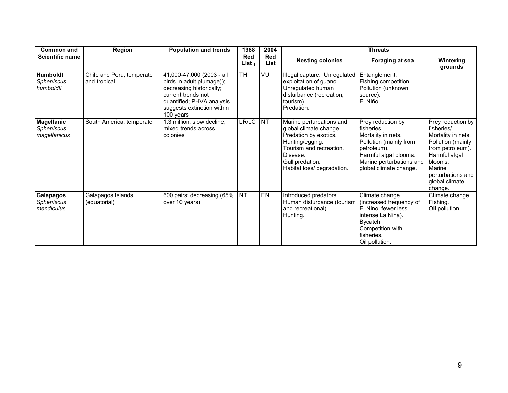| <b>Common and</b>                          | Region                                    | <b>Population and trends</b>                                                                                                                                                     | 1988                    | 2004               |                                                                                                                                                                                        | <b>Threats</b>                                                                                                                                                                |                                                                                                                                                                                        |
|--------------------------------------------|-------------------------------------------|----------------------------------------------------------------------------------------------------------------------------------------------------------------------------------|-------------------------|--------------------|----------------------------------------------------------------------------------------------------------------------------------------------------------------------------------------|-------------------------------------------------------------------------------------------------------------------------------------------------------------------------------|----------------------------------------------------------------------------------------------------------------------------------------------------------------------------------------|
| <b>Scientific name</b>                     |                                           |                                                                                                                                                                                  | <b>Red</b><br>List $_1$ | <b>Red</b><br>List | <b>Nesting colonies</b>                                                                                                                                                                | Foraging at sea                                                                                                                                                               | Wintering<br>grounds                                                                                                                                                                   |
| <b>Humboldt</b><br>Spheniscus<br>humboldti | Chile and Peru; temperate<br>and tropical | 41,000-47,000 (2003 - all<br>birds in adult plumage));<br>decreasing historically;<br>current trends not<br>quantified; PHVA analysis<br>suggests extinction within<br>100 years | <b>TH</b>               | VU                 | Illegal capture. Unregulated<br>exploitation of guano.<br>Unregulated human<br>disturbance (recreation,<br>tourism).<br>Predation.                                                     | Entanglement.<br>Fishing competition,<br>Pollution (unknown)<br>source).<br>El Niño                                                                                           |                                                                                                                                                                                        |
| Magellanic<br>Spheniscus<br>magellanicus   | South America, temperate                  | 1.3 million, slow decline;<br>mixed trends across<br>colonies                                                                                                                    | LR/LC                   | <b>NT</b>          | Marine perturbations and<br>global climate change.<br>Predation by exotics.<br>Hunting/egging.<br>Tourism and recreation.<br>Disease.<br>Gull predation.<br>Habitat loss/ degradation. | Prey reduction by<br>fisheries.<br>Mortality in nets.<br>Pollution (mainly from<br>petroleum).<br>Harmful algal blooms.<br>Marine perturbations and<br>global climate change. | Prey reduction by<br>fisheries/<br>Mortality in nets.<br>Pollution (mainly<br>from petroleum).<br>Harmful algal<br>blooms.<br>Marine<br>perturbations and<br>global climate<br>change. |
| Galapagos<br>Spheniscus<br>mendiculus      | Galapagos Islands<br>(equatorial)         | 600 pairs; decreasing (65%<br>over 10 years)                                                                                                                                     | $\overline{\text{NT}}$  | EN                 | Introduced predators.<br>Human disturbance (tourism<br>and recreational).<br>Hunting.                                                                                                  | Climate change<br>(increased frequency of<br>El Nino; fewer less<br>intense La Nina).<br>Bycatch.<br>Competition with<br>fisheries.<br>Oil pollution.                         | Climate change.<br>Fishing.<br>Oil pollution.                                                                                                                                          |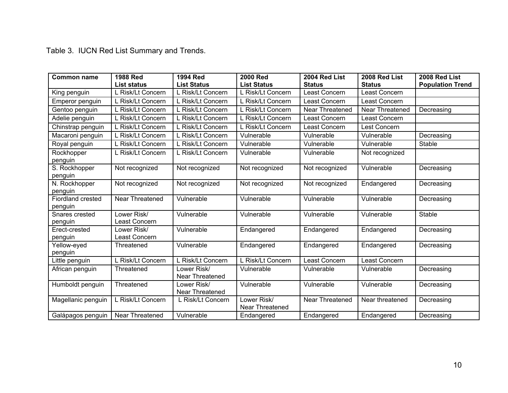Table 3. IUCN Red List Summary and Trends.

| <b>Common name</b>           | <b>1988 Red</b>              | <b>1994 Red</b>                | <b>2000 Red</b>                | 2004 Red List   | 2008 Red List   | 2008 Red List           |
|------------------------------|------------------------------|--------------------------------|--------------------------------|-----------------|-----------------|-------------------------|
|                              | <b>List status</b>           | <b>List Status</b>             | <b>List Status</b>             | <b>Status</b>   | <b>Status</b>   | <b>Population Trend</b> |
| King penguin                 | L Risk/Lt Concern            | L Risk/Lt Concern              | L Risk/Lt Concern              | Least Concern   | Least Concern   |                         |
| Emperor penguin              | L Risk/Lt Concern            | L Risk/Lt Concern              | L Risk/Lt Concern              | Least Concern   | Least Concern   |                         |
| Gentoo penguin               | L Risk/Lt Concern            | L Risk/Lt Concern              | L Risk/Lt Concern              | Near Threatened | Near Threatened | Decreasing              |
| Adelie penguin               | L Risk/Lt Concern            | L Risk/Lt Concern              | L Risk/Lt Concern              | Least Concern   | Least Concern   |                         |
| Chinstrap penguin            | L Risk/Lt Concern            | L Risk/Lt Concern              | L Risk/Lt Concern              | Least Concern   | Lest Concern    |                         |
| Macaroni penguin             | L Risk/Lt Concern            | L Risk/Lt Concern              | Vulnerable                     | Vulnerable      | Vulnerable      | Decreasing              |
| Royal penguin                | L Risk/Lt Concern            | L Risk/Lt Concern              | Vulnerable                     | Vulnerable      | Vulnerable      | Stable                  |
| Rockhopper<br>penguin        | L Risk/Lt Concern            | L Risk/Lt Concern              | Vulnerable                     | Vulnerable      | Not recognized  |                         |
| S. Rockhopper<br>penguin     | Not recognized               | Not recognized                 | Not recognized                 | Not recognized  | Vulnerable      | Decreasing              |
| N. Rockhopper<br>penguin     | Not recognized               | Not recognized                 | Not recognized                 | Not recognized  | Endangered      | Decreasing              |
| Fiordland crested<br>penguin | Near Threatened              | Vulnerable                     | Vulnerable                     | Vulnerable      | Vulnerable      | Decreasing              |
| Snares crested<br>penguin    | Lower Risk/<br>Least Concern | Vulnerable                     | Vulnerable                     | Vulnerable      | Vulnerable      | <b>Stable</b>           |
| Erect-crested<br>penguin     | Lower Risk/<br>Least Concern | Vulnerable                     | Endangered                     | Endangered      | Endangered      | Decreasing              |
| Yellow-eyed<br>penguin       | Threatened                   | Vulnerable                     | Endangered                     | Endangered      | Endangered      | Decreasing              |
| Little penguin               | L Risk/Lt Concern            | L Risk/Lt Concern              | L Risk/Lt Concern              | Least Concern   | Least Concern   |                         |
| African penguin              | Threatened                   | Lower Risk/<br>Near Threatened | Vulnerable                     | Vulnerable      | Vulnerable      | Decreasing              |
| Humboldt penguin             | Threatened                   | Lower Risk/<br>Near Threatened | Vulnerable                     | Vulnerable      | Vulnerable      | Decreasing              |
| Magellanic penguin           | L Risk/Lt Concern            | L Risk/Lt Concern              | Lower Risk/<br>Near Threatened | Near Threatened | Near threatened | Decreasing              |
| Galápagos penguin            | Near Threatened              | Vulnerable                     | Endangered                     | Endangered      | Endangered      | Decreasing              |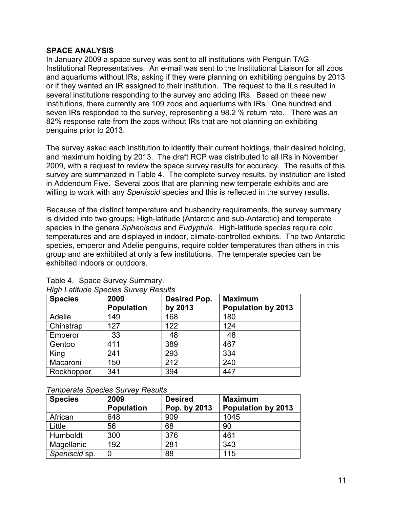#### **SPACE ANALYSIS**

In January 2009 a space survey was sent to all institutions with Penguin TAG Institutional Representatives. An e-mail was sent to the Institutional Liaison for all zoos and aquariums without IRs, asking if they were planning on exhibiting penguins by 2013 or if they wanted an IR assigned to their institution. The request to the ILs resulted in several institutions responding to the survey and adding IRs. Based on these new institutions, there currently are 109 zoos and aquariums with IRs. One hundred and seven IRs responded to the survey, representing a 98.2 % return rate. There was an 82% response rate from the zoos without IRs that are not planning on exhibiting penguins prior to 2013.

The survey asked each institution to identify their current holdings, their desired holding, and maximum holding by 2013. The draft RCP was distributed to all IRs in November 2009, with a request to review the space survey results for accuracy. The results of this survey are summarized in Table 4. The complete survey results, by institution are listed in Addendum Five. Several zoos that are planning new temperate exhibits and are willing to work with any *Speniscid* species and this is reflected in the survey results.

Because of the distinct temperature and husbandry requirements, the survey summary is divided into two groups; High-latitude (Antarctic and sub-Antarctic) and temperate species in the genera *Spheniscus* and *Eudyptula*. High-latitude species require cold temperatures and are displayed in indoor, climate-controlled exhibits. The two Antarctic species, emperor and Adelie penguins, require colder temperatures than others in this group and are exhibited at only a few institutions. The temperate species can be exhibited indoors or outdoors.

| <b>Species</b> | 2009<br><b>Population</b> | Desired Pop.<br>by 2013 | <b>Maximum</b><br><b>Population by 2013</b> |
|----------------|---------------------------|-------------------------|---------------------------------------------|
| Adelie         | 149                       | 168                     | 180                                         |
| Chinstrap      | 127                       | 122                     | 124                                         |
| Emperor        | 33                        | 48                      | 48                                          |
| Gentoo         | 411                       | 389                     | 467                                         |
| King           | 241                       | 293                     | 334                                         |
| Macaroni       | 150                       | 212                     | 240                                         |
| Rockhopper     | 341                       | 394                     | 447                                         |

| Table 4. Space Survey Summary.              |
|---------------------------------------------|
| <b>High Latitude Species Survey Results</b> |

#### *Temperate Species Survey Results*

| <b>Species</b> | 2009              | <b>Desired</b> | <b>Maximum</b>            |
|----------------|-------------------|----------------|---------------------------|
|                | <b>Population</b> | Pop. by 2013   | <b>Population by 2013</b> |
| African        | 648               | 909            | 1045                      |
| Little         | 56                | 68             | 90                        |
| Humboldt       | 300               | 376            | 461                       |
| Magellanic     | 192               | 281            | 343                       |
| Speniscid sp.  | 0                 | 88             | 115                       |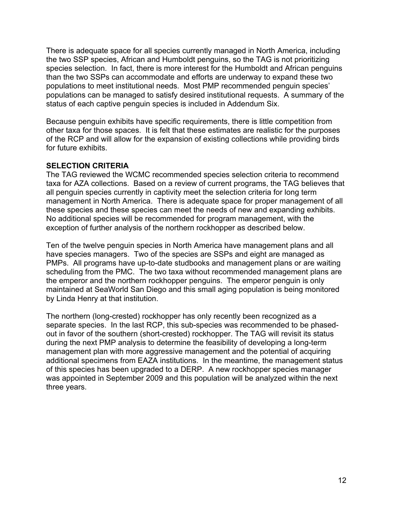There is adequate space for all species currently managed in North America, including the two SSP species, African and Humboldt penguins, so the TAG is not prioritizing species selection. In fact, there is more interest for the Humboldt and African penguins than the two SSPs can accommodate and efforts are underway to expand these two populations to meet institutional needs. Most PMP recommended penguin species' populations can be managed to satisfy desired institutional requests. A summary of the status of each captive penguin species is included in Addendum Six.

Because penguin exhibits have specific requirements, there is little competition from other taxa for those spaces. It is felt that these estimates are realistic for the purposes of the RCP and will allow for the expansion of existing collections while providing birds for future exhibits.

#### **SELECTION CRITERIA**

The TAG reviewed the WCMC recommended species selection criteria to recommend taxa for AZA collections. Based on a review of current programs, the TAG believes that all penguin species currently in captivity meet the selection criteria for long term management in North America. There is adequate space for proper management of all these species and these species can meet the needs of new and expanding exhibits. No additional species will be recommended for program management, with the exception of further analysis of the northern rockhopper as described below.

Ten of the twelve penguin species in North America have management plans and all have species managers. Two of the species are SSPs and eight are managed as PMPs. All programs have up-to-date studbooks and management plans or are waiting scheduling from the PMC. The two taxa without recommended management plans are the emperor and the northern rockhopper penguins. The emperor penguin is only maintained at SeaWorld San Diego and this small aging population is being monitored by Linda Henry at that institution.

The northern (long-crested) rockhopper has only recently been recognized as a separate species. In the last RCP, this sub-species was recommended to be phasedout in favor of the southern (short-crested) rockhopper. The TAG will revisit its status during the next PMP analysis to determine the feasibility of developing a long-term management plan with more aggressive management and the potential of acquiring additional specimens from EAZA institutions. In the meantime, the management status of this species has been upgraded to a DERP. A new rockhopper species manager was appointed in September 2009 and this population will be analyzed within the next three years.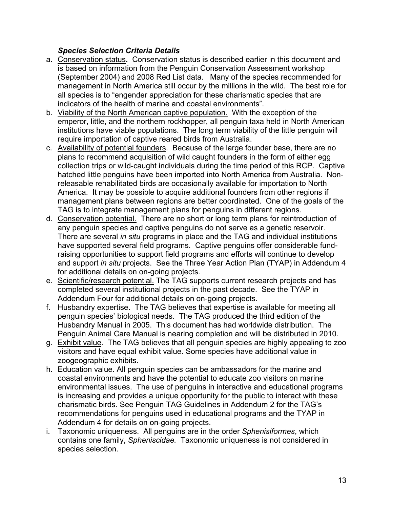#### *Species Selection Criteria Details*

- a. Conservation status*.* Conservation status is described earlier in this document and is based on information from the Penguin Conservation Assessment workshop (September 2004) and 2008 Red List data. Many of the species recommended for management in North America still occur by the millions in the wild. The best role for all species is to "engender appreciation for these charismatic species that are indicators of the health of marine and coastal environments".
- b. Viability of the North American captive population. With the exception of the emperor, little, and the northern rockhopper, all penguin taxa held in North American institutions have viable populations. The long term viability of the little penguin will require importation of captive reared birds from Australia.
- c. Availability of potential founders. Because of the large founder base, there are no plans to recommend acquisition of wild caught founders in the form of either egg collection trips or wild-caught individuals during the time period of this RCP. Captive hatched little penguins have been imported into North America from Australia. Nonreleasable rehabilitated birds are occasionally available for importation to North America. It may be possible to acquire additional founders from other regions if management plans between regions are better coordinated. One of the goals of the TAG is to integrate management plans for penguins in different regions.
- d. Conservation potential. There are no short or long term plans for reintroduction of any penguin species and captive penguins do not serve as a genetic reservoir. There are several *in situ* programs in place and the TAG and individual institutions have supported several field programs. Captive penguins offer considerable fundraising opportunities to support field programs and efforts will continue to develop and support *in situ* projects. See the Three Year Action Plan (TYAP) in Addendum 4 for additional details on on-going projects.
- e. Scientific/research potential. The TAG supports current research projects and has completed several institutional projects in the past decade. See the TYAP in Addendum Four for additional details on on-going projects.
- f. Husbandry expertise. The TAG believes that expertise is available for meeting all penguin species' biological needs. The TAG produced the third edition of the Husbandry Manual in 2005. This document has had worldwide distribution. The Penguin Animal Care Manual is nearing completion and will be distributed in 2010.
- g. Exhibit value. The TAG believes that all penguin species are highly appealing to zoo visitors and have equal exhibit value. Some species have additional value in zoogeographic exhibits.
- h. Education value. All penguin species can be ambassadors for the marine and coastal environments and have the potential to educate zoo visitors on marine environmental issues. The use of penguins in interactive and educational programs is increasing and provides a unique opportunity for the public to interact with these charismatic birds. See Penguin TAG Guidelines in Addendum 2 for the TAG's recommendations for penguins used in educational programs and the TYAP in Addendum 4 for details on on-going projects.
- i. Taxonomic uniqueness. All penguins are in the order *Sphenisiformes*, which contains one family, *Spheniscidae.* Taxonomic uniqueness is not considered in species selection.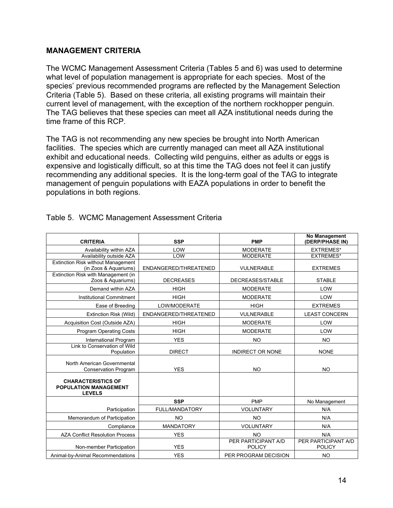#### **MANAGEMENT CRITERIA**

The WCMC Management Assessment Criteria (Tables 5 and 6) was used to determine what level of population management is appropriate for each species. Most of the species' previous recommended programs are reflected by the Management Selection Criteria (Table 5). Based on these criteria, all existing programs will maintain their current level of management, with the exception of the northern rockhopper penguin. The TAG believes that these species can meet all AZA institutional needs during the time frame of this RCP.

The TAG is not recommending any new species be brought into North American facilities. The species which are currently managed can meet all AZA institutional exhibit and educational needs. Collecting wild penguins, either as adults or eggs is expensive and logistically difficult, so at this time the TAG does not feel it can justify recommending any additional species. It is the long-term goal of the TAG to integrate management of penguin populations with EAZA populations in order to benefit the populations in both regions.

| <b>CRITERIA</b>                                                            | <b>SSP</b>            | <b>PMP</b>                           | No Management<br>(DERP/PHASE IN)     |
|----------------------------------------------------------------------------|-----------------------|--------------------------------------|--------------------------------------|
| Availability within AZA                                                    | LOW                   | <b>MODERATE</b>                      | <b>EXTREMES*</b>                     |
| Availability outside AZA                                                   | LOW                   | <b>MODERATE</b>                      | <b>EXTREMES*</b>                     |
| <b>Extinction Risk without Management</b><br>(in Zoos & Aquariums)         | ENDANGERED/THREATENED | VULNERABLE                           | <b>EXTREMES</b>                      |
| Extinction Risk with Management (in<br>Zoos & Aquariums)                   | <b>DECREASES</b>      | DECREASES/STABLE                     | <b>STABLE</b>                        |
| Demand within AZA                                                          | <b>HIGH</b>           | <b>MODERATE</b>                      | LOW                                  |
| Institutional Commitment                                                   | <b>HIGH</b>           | <b>MODERATE</b>                      | LOW                                  |
| Ease of Breeding                                                           | LOW/MODERATE          | <b>HIGH</b>                          | <b>EXTREMES</b>                      |
| Extinction Risk (Wild)                                                     | ENDANGERED/THREATENED | VULNERABLE                           | <b>LEAST CONCERN</b>                 |
| Acquisition Cost (Outside AZA)                                             | <b>HIGH</b>           | <b>MODERATE</b>                      | LOW                                  |
| <b>Program Operating Costs</b>                                             | <b>HIGH</b>           | <b>MODERATE</b>                      | LOW                                  |
| International Program                                                      | <b>YES</b>            | <b>NO</b>                            | <b>NO</b>                            |
| Link to Conservation of Wild<br>Population                                 | <b>DIRECT</b>         | <b>INDIRECT OR NONE</b>              | <b>NONE</b>                          |
| North American Governmental<br><b>Conservation Program</b>                 | <b>YES</b>            | <b>NO</b>                            | <b>NO</b>                            |
| <b>CHARACTERISTICS OF</b><br><b>POPULATION MANAGEMENT</b><br><b>LEVELS</b> |                       |                                      |                                      |
|                                                                            | <b>SSP</b>            | <b>PMP</b>                           | No Management                        |
| Participation                                                              | FULL/MANDATORY        | <b>VOLUNTARY</b>                     | N/A                                  |
| Memorandum of Participation                                                | <b>NO</b>             | <b>NO</b>                            | N/A                                  |
| Compliance                                                                 | <b>MANDATORY</b>      | <b>VOLUNTARY</b>                     | N/A                                  |
| <b>AZA Conflict Resolution Process</b>                                     | <b>YES</b>            | <b>NO</b>                            | N/A                                  |
| Non-member Participation                                                   | <b>YES</b>            | PER PARTICIPANT A/D<br><b>POLICY</b> | PER PARTICIPANT A/D<br><b>POLICY</b> |
| Animal-by-Animal Recommendations                                           | <b>YES</b>            | PER PROGRAM DECISION                 | <b>NO</b>                            |

#### Table 5. WCMC Management Assessment Criteria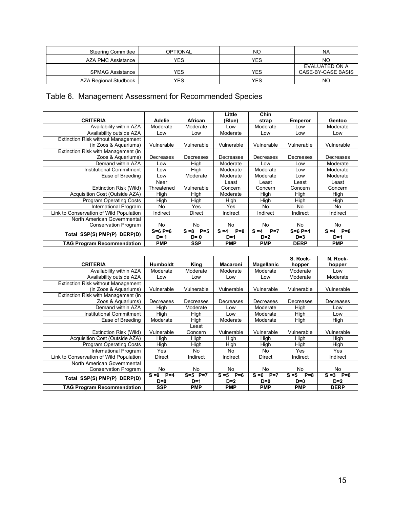| <b>Steering Committee</b> | <b>OPTIONAL</b> | <b>NO</b> | NA                                   |
|---------------------------|-----------------|-----------|--------------------------------------|
| AZA PMC Assistance        | YES             | YES       | NΟ                                   |
| <b>SPMAG Assistance</b>   | YES             | YES       | EVALUATED ON A<br>CASE-BY-CASE BASIS |
| AZA Regional Studbook     | YES             | YES       | NO                                   |

## Table 6. Management Assessment for Recommended Species

|                                           |               |                  | Little           | Chin             |                |                  |
|-------------------------------------------|---------------|------------------|------------------|------------------|----------------|------------------|
| <b>CRITERIA</b>                           | <b>Adelie</b> | African          | (Blue)           | strap            | <b>Emperor</b> | Gentoo           |
| Availability within AZA                   | Moderate      | Moderate         | Low              | Moderate         | Low            | Moderate         |
| Availability outside AZA                  | Low           | Low              | Moderate         | Low              | Low            | Low              |
| <b>Extinction Risk without Management</b> |               |                  |                  |                  |                |                  |
| (in Zoos & Aquariums)                     | Vulnerable    | Vulnerable       | Vulnerable       | Vulnerable       | Vulnerable     | Vulnerable       |
| Extinction Risk with Management (in       |               |                  |                  |                  |                |                  |
| Zoos & Aguariums)                         | Decreases     | Decreases        | Decreases        | Decreases        | Decreases      | Decreases        |
| Demand within AZA                         | Low           | High             | Moderate         | Low              | Low            | Moderate         |
| Institutional Commitment                  | Low           | High             | Moderate         | Moderate         | Low            | Moderate         |
| Ease of Breeding                          | Low           | Moderate         | Moderate         | Moderate         | Low            | Moderate         |
|                                           | Near          |                  | Least            | Least            | Least          | Least            |
| Extinction Risk (Wild)                    | Threatened    | Vulnerable       | Concern          | Concern          | Concern        | Concern          |
| Acquisition Cost (Outside AZA)            | High          | High             | Moderate         | High             | High           | High             |
| <b>Program Operating Costs</b>            | High          | High             | High             | High             | High           | High             |
| International Program                     | No.           | Yes              | Yes              | No               | No             | No               |
| Link to Conservation of Wild Population   | Indirect      | Direct           | Indirect         | Indirect         | Indirect       | Indirect         |
| North American Governmental               |               |                  |                  |                  |                |                  |
| Conservation Program                      | No            | No               | No               | No               | N <sub>o</sub> | No               |
| Total SSP(S) PMP(P) DERP(D)               | $S = 6 P = 6$ | $S = 8$<br>$P=5$ | $S = 4$<br>$P=8$ | $P=7$<br>$S = 4$ | $S = 6 P = 4$  | $S = 4$<br>$P=8$ |
|                                           | $D=1$         | D= 0             | $D=1$            | $D=2$            | $D=3$          | $D=1$            |
| <b>TAG Program Recommendation</b>         | <b>PMP</b>    | <b>SSP</b>       | <b>PMP</b>       | <b>PMP</b>       | <b>DERP</b>    | <b>PMP</b>       |

| <b>CRITERIA</b>                                                    | <b>Humboldt</b>         | King                     | <b>Macaroni</b>           | Magellanic                | S. Rock-<br>hopper        | N. Rock-<br>hopper        |
|--------------------------------------------------------------------|-------------------------|--------------------------|---------------------------|---------------------------|---------------------------|---------------------------|
| Availability within AZA                                            | Moderate                | Moderate                 | Moderate                  | Moderate                  | Moderate                  | Low                       |
| Availability outside AZA                                           | Low                     | Low                      | Low                       | Low                       | Moderate                  | Moderate                  |
| <b>Extinction Risk without Management</b><br>(in Zoos & Aquariums) | Vulnerable              | Vulnerable               | Vulnerable                | Vulnerable                | Vulnerable                | Vulnerable                |
| Extinction Risk with Management (in                                |                         |                          |                           |                           |                           |                           |
| Zoos & Aguariums)                                                  | Decreases               | Decreases                | Decreases                 | Decreases                 | Decreases                 | Decreases                 |
| Demand within AZA                                                  | High                    | Moderate                 | Low                       | Moderate                  | High                      | Low                       |
| Institutional Commitment                                           | High                    | High                     | Low                       | Moderate                  | High                      | Low                       |
| Ease of Breeding                                                   | Moderate                | High                     | Moderate                  | Moderate                  | High                      | High                      |
|                                                                    |                         | Least                    |                           |                           |                           |                           |
| Extinction Risk (Wild)                                             | Vulnerable              | Concern                  | Vulnerable                | Vulnerable                | Vulnerable                | Vulnerable                |
| Acquisition Cost (Outside AZA)                                     | High                    | High                     | High                      | High                      | High                      | High                      |
| <b>Program Operating Costs</b>                                     | High                    | High                     | High                      | High                      | High                      | High                      |
| International Program                                              | Yes                     | No                       | No                        | No                        | Yes                       | Yes                       |
| Link to Conservation of Wild Population                            | Direct                  | Indirect                 | Indirect                  | Direct                    | Indirect                  | Indirect                  |
| North American Governmental<br><b>Conservation Program</b>         | No                      | No                       | No                        | No                        | No                        | No                        |
| Total SSP(S) PMP(P) DERP(D)                                        | $S = 9$<br>$P=4$<br>D=0 | $S = 5$ $P = 7$<br>$D=1$ | $S = 5$<br>$P=6$<br>$D=2$ | $S = 6$<br>$P=7$<br>$D=0$ | $S = 5$<br>$P=8$<br>$D=0$ | $S = 3$<br>$P=8$<br>$D=2$ |
| <b>TAG Program Recommendation</b>                                  | <b>SSP</b>              | <b>PMP</b>               | <b>PMP</b>                | <b>PMP</b>                | <b>PMP</b>                | <b>DERP</b>               |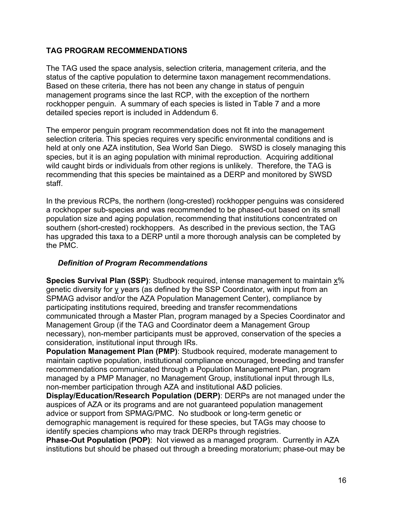#### **TAG PROGRAM RECOMMENDATIONS**

The TAG used the space analysis, selection criteria, management criteria, and the status of the captive population to determine taxon management recommendations. Based on these criteria, there has not been any change in status of penguin management programs since the last RCP, with the exception of the northern rockhopper penguin. A summary of each species is listed in Table 7 and a more detailed species report is included in Addendum 6.

The emperor penguin program recommendation does not fit into the management selection criteria. This species requires very specific environmental conditions and is held at only one AZA institution, Sea World San Diego. SWSD is closely managing this species, but it is an aging population with minimal reproduction. Acquiring additional wild caught birds or individuals from other regions is unlikely. Therefore, the TAG is recommending that this species be maintained as a DERP and monitored by SWSD staff.

In the previous RCPs, the northern (long-crested) rockhopper penguins was considered a rockhopper sub-species and was recommended to be phased-out based on its small population size and aging population, recommending that institutions concentrated on southern (short-crested) rockhoppers. As described in the previous section, the TAG has upgraded this taxa to a DERP until a more thorough analysis can be completed by the PMC.

#### *Definition of Program Recommendations*

**Species Survival Plan (SSP)**: Studbook required, intense management to maintain x% genetic diversity for y years (as defined by the SSP Coordinator, with input from an SPMAG advisor and/or the AZA Population Management Center), compliance by participating institutions required, breeding and transfer recommendations communicated through a Master Plan, program managed by a Species Coordinator and Management Group (if the TAG and Coordinator deem a Management Group necessary), non-member participants must be approved, conservation of the species a consideration, institutional input through IRs.

**Population Management Plan (PMP)**: Studbook required, moderate management to maintain captive population, institutional compliance encouraged, breeding and transfer recommendations communicated through a Population Management Plan, program managed by a PMP Manager, no Management Group, institutional input through ILs, non-member participation through AZA and institutional A&D policies.

**Display/Education/Research Population (DERP)**: DERPs are not managed under the auspices of AZA or its programs and are not guaranteed population management advice or support from SPMAG/PMC. No studbook or long-term genetic or demographic management is required for these species, but TAGs may choose to identify species champions who may track DERPs through registries.

**Phase-Out Population (POP)**: Not viewed as a managed program. Currently in AZA institutions but should be phased out through a breeding moratorium; phase-out may be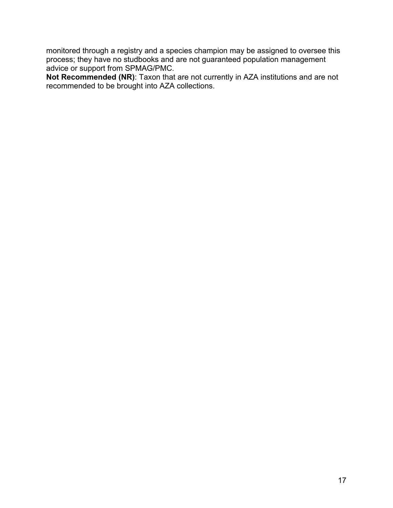monitored through a registry and a species champion may be assigned to oversee this process; they have no studbooks and are not guaranteed population management advice or support from SPMAG/PMC.

**Not Recommended (NR)**: Taxon that are not currently in AZA institutions and are not recommended to be brought into AZA collections.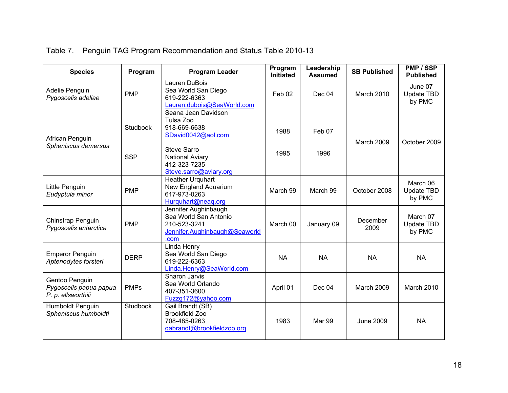| <b>Species</b>                                                 | Program                       | <b>Program Leader</b>                                                                                                                                            | Program<br><b>Initiated</b> | Leadership<br><b>Assumed</b> | <b>SB Published</b> | PMP / SSP<br><b>Published</b>          |
|----------------------------------------------------------------|-------------------------------|------------------------------------------------------------------------------------------------------------------------------------------------------------------|-----------------------------|------------------------------|---------------------|----------------------------------------|
| Adelie Penguin<br>Pygoscelis adeliae                           | <b>PMP</b>                    | Lauren DuBois<br>Sea World San Diego<br>619-222-6363<br>Lauren.dubois@SeaWorld.com                                                                               | Feb 02                      | Dec 04                       | <b>March 2010</b>   | June 07<br><b>Update TBD</b><br>by PMC |
| African Penguin<br>Spheniscus demersus                         | <b>Studbook</b><br><b>SSP</b> | Seana Jean Davidson<br>Tulsa Zoo<br>918-669-6638<br>SDavid0042@aol.com<br><b>Steve Sarro</b><br><b>National Aviary</b><br>412-323-7235<br>Steve.sarro@aviary.org | 1988<br>1995                | Feb 07<br>1996               | <b>March 2009</b>   | October 2009                           |
| Little Penguin<br>Eudyptula minor                              | <b>PMP</b>                    | <b>Heather Urguhart</b><br>New England Aquarium<br>617-973-0263<br>Hurguhart@neag.org                                                                            | March 99                    | March 99                     | October 2008        | March 06<br>Update TBD<br>by PMC       |
| Chinstrap Penguin<br>Pygoscelis antarctica                     | <b>PMP</b>                    | Jennifer Aughinbaugh<br>Sea World San Antonio<br>210-523-3241<br>Jennifer.Aughinbaugh@Seaworld<br>.com                                                           | March 00                    | January 09                   | December<br>2009    | March 07<br>Update TBD<br>by PMC       |
| <b>Emperor Penguin</b><br>Aptenodytes forsteri                 | <b>DERP</b>                   | Linda Henry<br>Sea World San Diego<br>619-222-6363<br>Linda.Henry@SeaWorld.com                                                                                   | <b>NA</b>                   | <b>NA</b>                    | <b>NA</b>           | <b>NA</b>                              |
| Gentoo Penguin<br>Pygoscelis papua papua<br>P. p. ellsworthiii | <b>PMPs</b>                   | Sharon Jarvis<br>Sea World Orlando<br>407-351-3600<br>Fuzzg172@yahoo.com                                                                                         | April 01                    | Dec 04                       | <b>March 2009</b>   | March 2010                             |
| Humboldt Penguin<br>Spheniscus humboldti                       | Studbook                      | Gail Brandt (SB)<br><b>Brookfield Zoo</b><br>708-485-0263<br>gabrandt@brookfieldzoo.org                                                                          | 1983                        | Mar 99                       | <b>June 2009</b>    | <b>NA</b>                              |

## Table 7. Penguin TAG Program Recommendation and Status Table 2010-13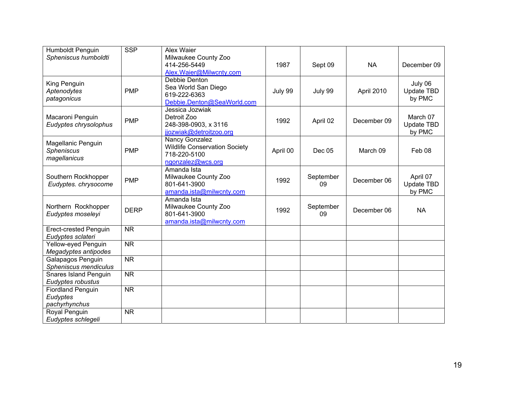| Humboldt Penguin             | <b>SSP</b>             | Alex Waier                              |          |                 |             |                      |
|------------------------------|------------------------|-----------------------------------------|----------|-----------------|-------------|----------------------|
| Spheniscus humboldti         |                        | Milwaukee County Zoo                    |          |                 |             |                      |
|                              |                        | 414-256-5449                            | 1987     | Sept 09         | <b>NA</b>   | December 09          |
|                              |                        | Alex.Waier@Milwcnty.com                 |          |                 |             |                      |
| King Penguin                 |                        | Debbie Denton                           |          |                 |             | July 06              |
| Aptenodytes                  | <b>PMP</b>             | Sea World San Diego                     | July 99  | July 99         | April 2010  | <b>Update TBD</b>    |
| patagonicus                  |                        | 619-222-6363                            |          |                 |             | by PMC               |
|                              |                        | Debbie.Denton@SeaWorld.com              |          |                 |             |                      |
|                              |                        | Jessica Jozwiak                         |          |                 |             |                      |
| Macaroni Penguin             | <b>PMP</b>             | Detroit Zoo                             | 1992     | April 02        | December 09 | March 07             |
| Eudyptes chrysolophus        |                        | 248-398-0903, x 3116                    |          |                 |             | Update TBD           |
|                              |                        | jjozwiak@detroitzoo.org                 |          |                 |             | by PMC               |
| Magellanic Penguin           |                        | Nancy Gonzalez                          |          |                 |             |                      |
| Spheniscus                   | <b>PMP</b>             | <b>Wildlife Conservation Society</b>    | April 00 | Dec 05          | March 09    | Feb 08               |
| magellanicus                 |                        | 718-220-5100                            |          |                 |             |                      |
|                              |                        | ngonzalez@wcs.org                       |          |                 |             |                      |
|                              |                        | Amanda Ista                             |          |                 |             |                      |
| Southern Rockhopper          | <b>PMP</b>             | Milwaukee County Zoo<br>801-641-3900    | 1992     | September<br>09 | December 06 | April 07             |
| Eudyptes. chrysocome         |                        |                                         |          |                 |             | Update TBD<br>by PMC |
|                              |                        | amanda.ista@milwcnty.com<br>Amanda Ista |          |                 |             |                      |
| Northern Rockhopper          |                        | Milwaukee County Zoo                    |          | September       |             |                      |
| Eudyptes moseleyi            | <b>DERP</b>            | 801-641-3900                            | 1992     | 09              | December 06 | <b>NA</b>            |
|                              |                        | amanda.ista@milwcnty.com                |          |                 |             |                      |
| <b>Erect-crested Penguin</b> | <b>NR</b>              |                                         |          |                 |             |                      |
| Eudyptes sclateri            |                        |                                         |          |                 |             |                      |
| Yellow-eyed Penguin          | <b>NR</b>              |                                         |          |                 |             |                      |
| Megadyptes antipodes         |                        |                                         |          |                 |             |                      |
| Galapagos Penguin            | <b>NR</b>              |                                         |          |                 |             |                      |
| Spheniscus mendiculus        |                        |                                         |          |                 |             |                      |
| <b>Snares Island Penguin</b> | $\overline{\text{NR}}$ |                                         |          |                 |             |                      |
| Eudyptes robustus            |                        |                                         |          |                 |             |                      |
| <b>Fiordland Penguin</b>     | <b>NR</b>              |                                         |          |                 |             |                      |
| Eudyptes                     |                        |                                         |          |                 |             |                      |
| pachyrhynchus                |                        |                                         |          |                 |             |                      |
| Royal Penguin                | <b>NR</b>              |                                         |          |                 |             |                      |
| Eudyptes schlegeli           |                        |                                         |          |                 |             |                      |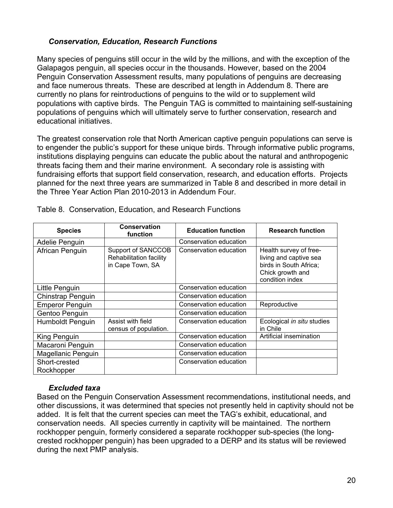#### *Conservation, Education, Research Functions*

Many species of penguins still occur in the wild by the millions, and with the exception of the Galapagos penguin, all species occur in the thousands. However, based on the 2004 Penguin Conservation Assessment results, many populations of penguins are decreasing and face numerous threats. These are described at length in Addendum 8. There are currently no plans for reintroductions of penguins to the wild or to supplement wild populations with captive birds. The Penguin TAG is committed to maintaining self-sustaining populations of penguins which will ultimately serve to further conservation, research and educational initiatives.

The greatest conservation role that North American captive penguin populations can serve is to engender the public's support for these unique birds. Through informative public programs, institutions displaying penguins can educate the public about the natural and anthropogenic threats facing them and their marine environment. A secondary role is assisting with fundraising efforts that support field conservation, research, and education efforts. Projects planned for the next three years are summarized in Table 8 and described in more detail in the Three Year Action Plan 2010-2013 in Addendum Four.

| <b>Species</b>              | <b>Conservation</b><br>function                                   | <b>Education function</b> | <b>Research function</b>                                                                                          |
|-----------------------------|-------------------------------------------------------------------|---------------------------|-------------------------------------------------------------------------------------------------------------------|
| Adelie Penguin              |                                                                   | Conservation education    |                                                                                                                   |
| African Penguin             | Support of SANCCOB<br>Rehabilitation facility<br>in Cape Town, SA | Conservation education    | Health survey of free-<br>living and captive sea<br>birds in South Africa;<br>Chick growth and<br>condition index |
| Little Penguin              |                                                                   | Conservation education    |                                                                                                                   |
| Chinstrap Penguin           |                                                                   | Conservation education    |                                                                                                                   |
| <b>Emperor Penguin</b>      |                                                                   | Conservation education    | Reproductive                                                                                                      |
| Gentoo Penguin              |                                                                   | Conservation education    |                                                                                                                   |
| <b>Humboldt Penguin</b>     | Assist with field<br>census of population.                        | Conservation education    | Ecological in situ studies<br>in Chile                                                                            |
| King Penguin                |                                                                   | Conservation education    | Artificial insemination                                                                                           |
| Macaroni Penguin            |                                                                   | Conservation education    |                                                                                                                   |
| Magellanic Penguin          |                                                                   | Conservation education    |                                                                                                                   |
| Short-crested<br>Rockhopper |                                                                   | Conservation education    |                                                                                                                   |

Table 8. Conservation, Education, and Research Functions

#### *Excluded taxa*

Based on the Penguin Conservation Assessment recommendations, institutional needs, and other discussions, it was determined that species not presently held in captivity should not be added. It is felt that the current species can meet the TAG's exhibit, educational, and conservation needs. All species currently in captivity will be maintained. The northern rockhopper penguin, formerly considered a separate rockhopper sub-species (the longcrested rockhopper penguin) has been upgraded to a DERP and its status will be reviewed during the next PMP analysis.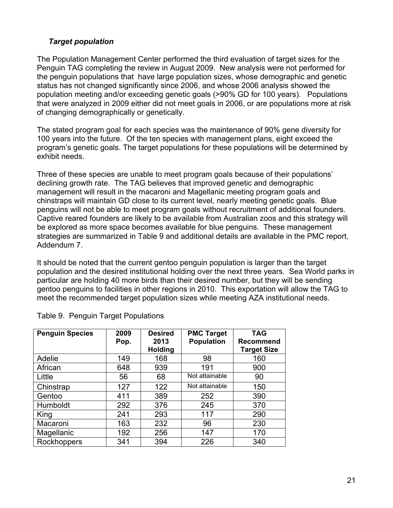#### *Target population*

The Population Management Center performed the third evaluation of target sizes for the Penguin TAG completing the review in August 2009. New analysis were not performed for the penguin populations that have large population sizes, whose demographic and genetic status has not changed significantly since 2006, and whose 2006 analysis showed the population meeting and/or exceeding genetic goals (>90% GD for 100 years). Populations that were analyzed in 2009 either did not meet goals in 2006, or are populations more at risk of changing demographically or genetically.

The stated program goal for each species was the maintenance of 90% gene diversity for 100 years into the future. Of the ten species with management plans, eight exceed the program's genetic goals. The target populations for these populations will be determined by exhibit needs.

Three of these species are unable to meet program goals because of their populations' declining growth rate. The TAG believes that improved genetic and demographic management will result in the macaroni and Magellanic meeting program goals and chinstraps will maintain GD close to its current level, nearly meeting genetic goals. Blue penguins will not be able to meet program goals without recruitment of additional founders. Captive reared founders are likely to be available from Australian zoos and this strategy will be explored as more space becomes available for blue penguins. These management strategies are summarized in Table 9 and additional details are available in the PMC report, Addendum 7.

It should be noted that the current gentoo penguin population is larger than the target population and the desired institutional holding over the next three years. Sea World parks in particular are holding 40 more birds than their desired number, but they will be sending gentoo penguins to facilities in other regions in 2010. This exportation will allow the TAG to meet the recommended target population sizes while meeting AZA institutional needs.

| <b>Penguin Species</b> | 2009<br>Pop. | <b>Desired</b><br>2013<br><b>Holding</b> | <b>PMC Target</b><br><b>Population</b> | <b>TAG</b><br><b>Recommend</b><br><b>Target Size</b> |
|------------------------|--------------|------------------------------------------|----------------------------------------|------------------------------------------------------|
| Adelie                 | 149          | 168                                      | 98                                     | 160                                                  |
| African                | 648          | 939                                      | 191                                    | 900                                                  |
| Little                 | 56           | 68                                       | Not attainable                         | 90                                                   |
| Chinstrap              | 127          | 122                                      | Not attainable                         | 150                                                  |
| Gentoo                 | 411          | 389                                      | 252                                    | 390                                                  |
| Humboldt               | 292          | 376                                      | 245                                    | 370                                                  |
| King                   | 241          | 293                                      | 117                                    | 290                                                  |
| Macaroni               | 163          | 232                                      | 96                                     | 230                                                  |
| Magellanic             | 192          | 256                                      | 147                                    | 170                                                  |
| Rockhoppers            | 341          | 394                                      | 226                                    | 340                                                  |

Table 9. Penguin Target Populations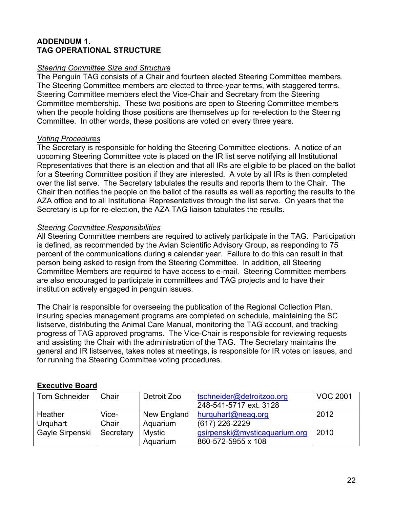#### **ADDENDUM 1. TAG OPERATIONAL STRUCTURE**

#### *Steering Committee Size and Structure*

The Penguin TAG consists of a Chair and fourteen elected Steering Committee members. The Steering Committee members are elected to three-year terms, with staggered terms. Steering Committee members elect the Vice-Chair and Secretary from the Steering Committee membership. These two positions are open to Steering Committee members when the people holding those positions are themselves up for re-election to the Steering Committee. In other words, these positions are voted on every three years.

#### *Voting Procedures*

The Secretary is responsible for holding the Steering Committee elections. A notice of an upcoming Steering Committee vote is placed on the IR list serve notifying all Institutional Representatives that there is an election and that all IRs are eligible to be placed on the ballot for a Steering Committee position if they are interested. A vote by all IRs is then completed over the list serve. The Secretary tabulates the results and reports them to the Chair. The Chair then notifies the people on the ballot of the results as well as reporting the results to the AZA office and to all Institutional Representatives through the list serve. On years that the Secretary is up for re-election, the AZA TAG liaison tabulates the results.

#### *Steering Committee Responsibilities*

All Steering Committee members are required to actively participate in the TAG. Participation is defined, as recommended by the Avian Scientific Advisory Group, as responding to 75 percent of the communications during a calendar year. Failure to do this can result in that person being asked to resign from the Steering Committee. In addition, all Steering Committee Members are required to have access to e-mail. Steering Committee members are also encouraged to participate in committees and TAG projects and to have their institution actively engaged in penguin issues.

The Chair is responsible for overseeing the publication of the Regional Collection Plan, insuring species management programs are completed on schedule, maintaining the SC listserve, distributing the Animal Care Manual, monitoring the TAG account, and tracking progress of TAG approved programs. The Vice-Chair is responsible for reviewing requests and assisting the Chair with the administration of the TAG. The Secretary maintains the general and IR listserves, takes notes at meetings, is responsible for IR votes on issues, and for running the Steering Committee voting procedures.

#### **Executive Board**

| Tom Schneider   | Chair     | Detroit Zoo | tschneider@detroitzoo.org     | <b>VOC 2001</b> |
|-----------------|-----------|-------------|-------------------------------|-----------------|
|                 |           |             | 248-541-5717 ext. 3128        |                 |
| Heather         | Vice-     | New England | hurquhart@neaq.org            | 2012            |
| Urguhart        | Chair     | Aquarium    | (617) 226-2229                |                 |
| Gayle Sirpenski | Secretary | Mystic      | gsirpenski@mysticaquarium.org | 2010            |
|                 |           | Aquarium    | 860-572-5955 x 108            |                 |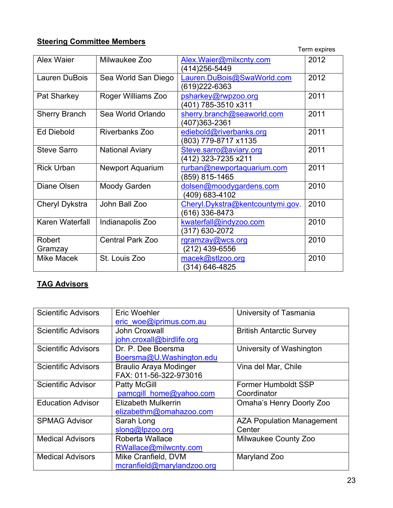### **Steering Committee Members**

| <b>Term expires</b> |
|---------------------|
|                     |

|                      |                         |                                                    | LALLI ANILAS |
|----------------------|-------------------------|----------------------------------------------------|--------------|
| <b>Alex Waier</b>    | Milwaukee Zoo           | Alex. Waier@milxcnty.com<br>(414)256-5449          | 2012         |
| Lauren DuBois        | Sea World San Diego     | Lauren.DuBois@SwaWorld.com<br>(619) 222 - 6363     | 2012         |
| Pat Sharkey          | Roger Williams Zoo      | psharkey@rwpzoo.org<br>(401) 785-3510 x311         | 2011         |
| <b>Sherry Branch</b> | Sea World Orlando       | sherry.branch@seaworld.com<br>(407)363-2361        | 2011         |
| <b>Ed Diebold</b>    | Riverbanks Zoo          | ediebold@riverbanks.org<br>(803) 779-8717 x1135    | 2011         |
| <b>Steve Sarro</b>   | <b>National Aviary</b>  | Steve.sarro@aviary.org<br>(412) 323-7235 x211      | 2011         |
| <b>Rick Urban</b>    | <b>Newport Aquarium</b> | rurban@newportaquarium.com<br>(859) 815-1465       | 2011         |
| Diane Olsen          | Moody Garden            | dolsen@moodygardens.com<br>(409) 683-4102          | 2010         |
| Cheryl Dykstra       | John Ball Zoo           | Cheryl.Dykstra@kentcountymi.gov.<br>(616) 336-8473 | 2010         |
| Karen Waterfall      | Indianapolis Zoo        | kwaterfall@indyzoo.com<br>(317) 630-2072           | 2010         |
| Robert<br>Gramzay    | <b>Central Park Zoo</b> | rgramzay@wcs.org<br>(212) 439-6556                 | 2010         |
| <b>Mike Macek</b>    | St. Louis Zoo           | macek@stlzoo.org<br>(314) 646-4825                 | 2010         |

## **TAG Advisors**

| <b>Scientific Advisors</b> | Eric Woehler                  | University of Tasmania           |
|----------------------------|-------------------------------|----------------------------------|
|                            | eric woe@iprimus.com.au       |                                  |
| <b>Scientific Advisors</b> | John Croxwall                 | <b>British Antarctic Survey</b>  |
|                            | john.croxall@birdlife.org     |                                  |
| <b>Scientific Advisors</b> | Dr. P. Dee Boersma            | University of Washington         |
|                            | Boersma@U.Washington.edu      |                                  |
| <b>Scientific Advisors</b> | <b>Braulio Araya Modinger</b> | Vina del Mar, Chile              |
|                            | FAX: 011-56-322-973016        |                                  |
| <b>Scientific Advisor</b>  | <b>Patty McGill</b>           | <b>Former Humboldt SSP</b>       |
|                            | pamcgill home@yahoo.com       | Coordinator                      |
| <b>Education Advisor</b>   | Elizabeth Mulkerrin           | Omaha's Henry Doorly Zoo         |
|                            | elizabethm@omahazoo.com       |                                  |
| <b>SPMAG Advisor</b>       | Sarah Long                    | <b>AZA Population Management</b> |
|                            | slong@lpzoo.org               | Center                           |
| <b>Medical Advisors</b>    | Roberta Wallace               | Milwaukee County Zoo             |
|                            | RWallace@milwcnty.com         |                                  |
| <b>Medical Advisors</b>    | Mike Cranfield, DVM           | Maryland Zoo                     |
|                            | mcranfield@marylandzoo.org    |                                  |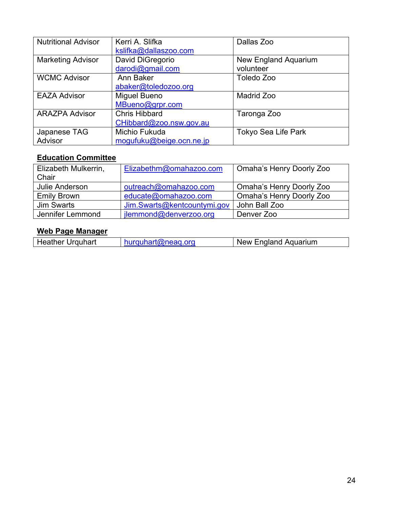| <b>Nutritional Advisor</b> | Kerri A. Slifka          | Dallas Zoo                 |
|----------------------------|--------------------------|----------------------------|
|                            | kslifka@dallaszoo.com    |                            |
| <b>Marketing Advisor</b>   | David DiGregorio         | New England Aquarium       |
|                            | darodi@gmail.com         | volunteer                  |
| <b>WCMC Advisor</b>        | Ann Baker                | Toledo Zoo                 |
|                            | abaker@toledozoo.org     |                            |
| <b>EAZA Advisor</b>        | Miguel Bueno             | Madrid Zoo                 |
|                            | MBueno@grpr.com          |                            |
| <b>ARAZPA Advisor</b>      | <b>Chris Hibbard</b>     | Taronga Zoo                |
|                            | CHibbard@zoo.nsw.gov.au  |                            |
| Japanese TAG               | Michio Fukuda            | <b>Tokyo Sea Life Park</b> |
| Advisor                    | mogufuku@beige.ocn.ne.jp |                            |

## **Education Committee**

| Elizabeth Mulkerrin, | Elizabethm@omahazoo.com     | <b>Omaha's Henry Doorly Zoo</b> |
|----------------------|-----------------------------|---------------------------------|
| Chair                |                             |                                 |
| Julie Anderson       | outreach@omahazoo.com       | <b>Omaha's Henry Doorly Zoo</b> |
| <b>Emily Brown</b>   | educate@omahazoo.com        | Omaha's Henry Doorly Zoo        |
| Jim Swarts           | Jim.Swarts@kentcountymi.gov | John Ball Zoo                   |
| Jennifer Lemmond     | jlemmond@denverzoo.org      | Denver Zoo                      |

## **Web Page Manager**

| <b>Heather Urguhart</b> | hurquhart@neaq.org | New England Aquarium |
|-------------------------|--------------------|----------------------|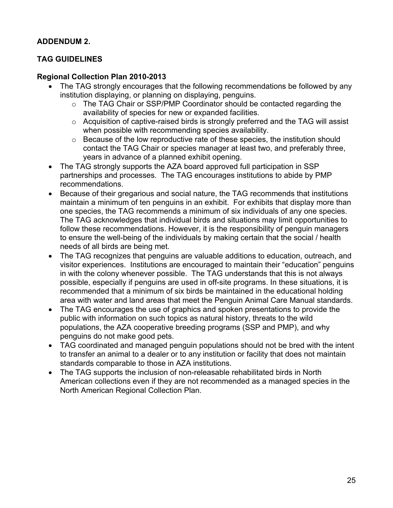#### **ADDENDUM 2.**

#### **TAG GUIDELINES**

#### **Regional Collection Plan 2010-2013**

- The TAG strongly encourages that the following recommendations be followed by any institution displaying, or planning on displaying, penguins.
	- o The TAG Chair or SSP/PMP Coordinator should be contacted regarding the availability of species for new or expanded facilities.
	- o Acquisition of captive-raised birds is strongly preferred and the TAG will assist when possible with recommending species availability.
	- $\circ$  Because of the low reproductive rate of these species, the institution should contact the TAG Chair or species manager at least two, and preferably three, years in advance of a planned exhibit opening.
- The TAG strongly supports the AZA board approved full participation in SSP partnerships and processes. The TAG encourages institutions to abide by PMP recommendations.
- Because of their gregarious and social nature, the TAG recommends that institutions maintain a minimum of ten penguins in an exhibit. For exhibits that display more than one species, the TAG recommends a minimum of six individuals of any one species. The TAG acknowledges that individual birds and situations may limit opportunities to follow these recommendations. However, it is the responsibility of penguin managers to ensure the well-being of the individuals by making certain that the social / health needs of all birds are being met.
- The TAG recognizes that penguins are valuable additions to education, outreach, and visitor experiences. Institutions are encouraged to maintain their "education" penguins in with the colony whenever possible. The TAG understands that this is not always possible, especially if penguins are used in off-site programs. In these situations, it is recommended that a minimum of six birds be maintained in the educational holding area with water and land areas that meet the Penguin Animal Care Manual standards.
- The TAG encourages the use of graphics and spoken presentations to provide the public with information on such topics as natural history, threats to the wild populations, the AZA cooperative breeding programs (SSP and PMP), and why penguins do not make good pets.
- TAG coordinated and managed penguin populations should not be bred with the intent to transfer an animal to a dealer or to any institution or facility that does not maintain standards comparable to those in AZA institutions.
- The TAG supports the inclusion of non-releasable rehabilitated birds in North American collections even if they are not recommended as a managed species in the North American Regional Collection Plan.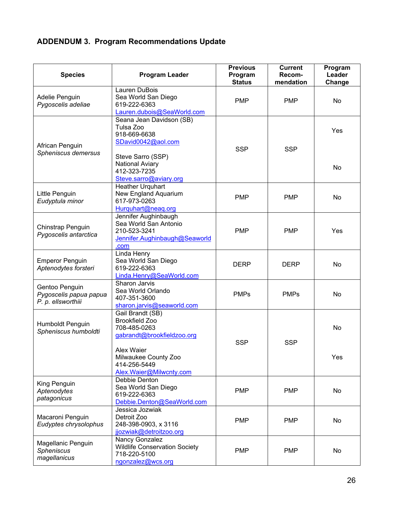## **ADDENDUM 3. Program Recommendations Update**

| <b>Species</b>                                                                                                                      | <b>Program Leader</b>                                                                                                               | <b>Previous</b><br>Program<br><b>Status</b> | <b>Current</b><br>Recom-<br>mendation | Program<br>Leader<br>Change |
|-------------------------------------------------------------------------------------------------------------------------------------|-------------------------------------------------------------------------------------------------------------------------------------|---------------------------------------------|---------------------------------------|-----------------------------|
| Adelie Penguin<br>Pygoscelis adeliae                                                                                                | Lauren DuBois<br>Sea World San Diego<br>619-222-6363<br>Lauren.dubois@SeaWorld.com                                                  | <b>PMP</b>                                  | <b>PMP</b>                            | <b>No</b>                   |
| African Penguin<br>Spheniscus demersus                                                                                              | Seana Jean Davidson (SB)<br>Tulsa Zoo<br>918-669-6638<br>SDavid0042@aol.com<br>Steve Sarro (SSP)<br>National Aviary<br>412-323-7235 | <b>SSP</b>                                  | <b>SSP</b>                            | Yes<br>No                   |
| Little Penguin<br>Eudyptula minor                                                                                                   | Steve.sarro@aviary.org<br><b>Heather Urquhart</b><br>New England Aquarium<br>617-973-0263                                           | <b>PMP</b>                                  | <b>PMP</b>                            | <b>No</b>                   |
| Chinstrap Penguin<br>Pygoscelis antarctica                                                                                          | Hurguhart@neag.org<br>Jennifer Aughinbaugh<br>Sea World San Antonio<br>210-523-3241<br>Jennifer.Aughinbaugh@Seaworld<br>.com        | <b>PMP</b>                                  | <b>PMP</b>                            | Yes                         |
| <b>Emperor Penguin</b><br>Aptenodytes forsteri                                                                                      | Linda Henry<br>Sea World San Diego<br>619-222-6363<br>Linda.Henry@SeaWorld.com                                                      | <b>DERP</b>                                 | <b>DERP</b>                           | No                          |
| Gentoo Penguin<br>Pygoscelis papua papua<br>P. p. ellsworthiii                                                                      | Sharon Jarvis<br>Sea World Orlando<br>407-351-3600<br>sharon.jarvis@seaworld.com                                                    | <b>PMPs</b>                                 | <b>PMPs</b>                           | <b>No</b>                   |
| Gail Brandt (SB)<br><b>Brookfield Zoo</b><br>Humboldt Penguin<br>708-485-0263<br>Spheniscus humboldti<br>gabrandt@brookfieldzoo.org |                                                                                                                                     | <b>SSP</b>                                  | <b>SSP</b>                            | No                          |
|                                                                                                                                     | Alex Waier<br>Milwaukee County Zoo<br>414-256-5449<br>Alex. Waier@Milwcnty.com                                                      |                                             |                                       | Yes                         |
| King Penguin<br>Aptenodytes<br>patagonicus                                                                                          | Debbie Denton<br>Sea World San Diego<br>619-222-6363<br>Debbie.Denton@SeaWorld.com                                                  | <b>PMP</b>                                  | <b>PMP</b>                            | No                          |
| Macaroni Penguin<br>Eudyptes chrysolophus                                                                                           | Jessica Jozwiak<br>Detroit Zoo<br>248-398-0903, x 3116<br>jjozwiak@detroitzoo.org                                                   | <b>PMP</b>                                  | <b>PMP</b>                            | No                          |
| Magellanic Penguin<br><b>Spheniscus</b><br>magellanicus                                                                             | Nancy Gonzalez<br><b>Wildlife Conservation Society</b><br>718-220-5100<br>ngonzalez@wcs.org                                         | <b>PMP</b>                                  | <b>PMP</b>                            | No                          |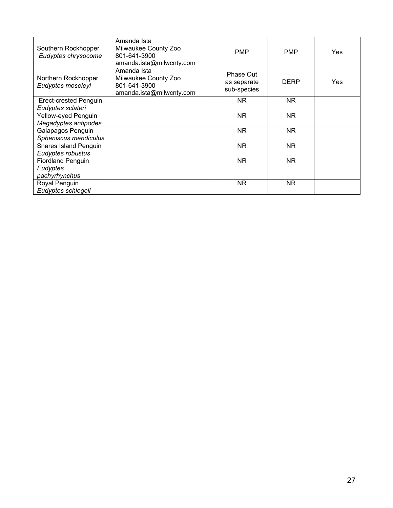| Southern Rockhopper<br>Eudyptes chrysocome            | Amanda Ista<br>Milwaukee County Zoo<br>801-641-3900<br>amanda.ista@milwcnty.com | <b>PMP</b>                              | <b>PMP</b>  | Yes. |
|-------------------------------------------------------|---------------------------------------------------------------------------------|-----------------------------------------|-------------|------|
| Northern Rockhopper<br>Eudyptes moseleyi              | Amanda Ista<br>Milwaukee County Zoo<br>801-641-3900<br>amanda.ista@milwcnty.com | Phase Out<br>as separate<br>sub-species | <b>DERP</b> | Yes  |
| Erect-crested Penguin<br>Eudyptes sclateri            |                                                                                 | NR.                                     | NR.         |      |
| Yellow-eyed Penguin<br>Megadyptes antipodes           |                                                                                 | NR.                                     | NR.         |      |
| Galapagos Penguin<br>Spheniscus mendiculus            |                                                                                 | <b>NR</b>                               | NR.         |      |
| <b>Snares Island Penguin</b><br>Eudyptes robustus     |                                                                                 | N <sub>R</sub>                          | <b>NR</b>   |      |
| <b>Fiordland Penguin</b><br>Eudyptes<br>pachyrhynchus |                                                                                 | NR.                                     | <b>NR</b>   |      |
| Royal Penguin<br>Eudyptes schlegeli                   |                                                                                 | NR.                                     | NR.         |      |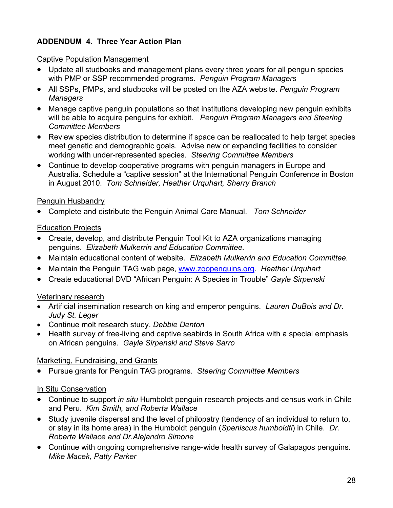#### **ADDENDUM 4. Three Year Action Plan**

#### Captive Population Management

- Update all studbooks and management plans every three years for all penguin species with PMP or SSP recommended programs. *Penguin Program Managers*
- All SSPs, PMPs, and studbooks will be posted on the AZA website. *Penguin Program Managers*
- Manage captive penguin populations so that institutions developing new penguin exhibits will be able to acquire penguins for exhibit. *Penguin Program Managers and Steering Committee Members*
- Review species distribution to determine if space can be reallocated to help target species meet genetic and demographic goals. Advise new or expanding facilities to consider working with under-represented species. *Steering Committee Members*
- Continue to develop cooperative programs with penguin managers in Europe and Australia. Schedule a "captive session" at the International Penguin Conference in Boston in August 2010. *Tom Schneider, Heather Urquhart, Sherry Branch*

#### Penguin Husbandry

x Complete and distribute the Penguin Animal Care Manual. *Tom Schneider*

#### **Education Projects**

- Create, develop, and distribute Penguin Tool Kit to AZA organizations managing penguins. *Elizabeth Mulkerrin and Education Committee.*
- **•** Maintain educational content of website. *Elizabeth Mulkerrin and Education Committee.*
- **•** Maintain the Penguin TAG web page, **www.zoopenguins.org. Heather Urquhart**
- **Create educational DVD "African Penguin: A Species in Trouble"** *Gayle Sirpenski*

#### Veterinary research

- Artificial insemination research on king and emperor penguins. *Lauren DuBois and Dr. Judy St. Leger*
- x Continue molt research study. *Debbie Denton*
- Health survey of free-living and captive seabirds in South Africa with a special emphasis on African penguins. *Gayle Sirpenski and Steve Sarro*

#### Marketing, Fundraising, and Grants

x Pursue grants for Penguin TAG programs. *Steering Committee Members*

#### In Situ Conservation

- Continue to support *in situ* Humboldt penguin research projects and census work in Chile and Peru. *Kim Smith, and Roberta Wallace*
- Study juvenile dispersal and the level of philopatry (tendency of an individual to return to, or stay in its home area) in the Humboldt penguin (*Speniscus humboldti*) in Chile. *Dr. Roberta Wallace and Dr.Alejandro Simone*
- Continue with ongoing comprehensive range-wide health survey of Galapagos penguins. *Mike Macek, Patty Parker*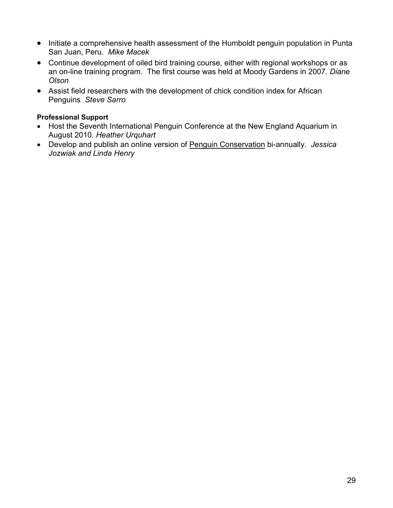- Initiate a comprehensive health assessment of the Humboldt penguin population in Punta San Juan, Peru. *Mike Macek*
- Continue development of oiled bird training course, either with regional workshops or as an on-line training program. The first course was held at Moody Gardens in 2007. *Diane Olson*
- Assist field researchers with the development of chick condition index for African Penguins *Steve Sarro*

#### **Professional Support**

- Host the Seventh International Penguin Conference at the New England Aquarium in August 2010. *Heather Urquhart*
- x Develop and publish an online version of Penguin Conservation bi-annually. *Jessica Jozwiak and Linda Henry*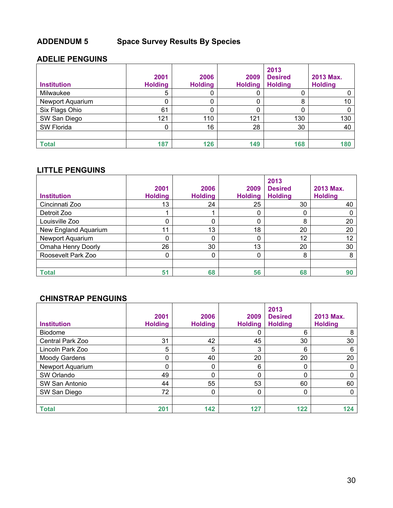## **ADDENDUM 5 Space Survey Results By Species**

#### **ADELIE PENGUINS**

| <b>Institution</b> | 2001<br><b>Holding</b> | 2006<br><b>Holding</b> | 2009<br><b>Holding</b> | 2013<br><b>Desired</b><br><b>Holding</b> | 2013 Max.<br><b>Holding</b> |
|--------------------|------------------------|------------------------|------------------------|------------------------------------------|-----------------------------|
| Milwaukee          | 5                      |                        | U                      | U                                        |                             |
| Newport Aquarium   | 0                      |                        | 0                      | 8                                        | 10                          |
| Six Flags Ohio     | 61                     |                        | 0                      |                                          |                             |
| SW San Diego       | 121                    | 110                    | 121                    | 130                                      | 130                         |
| SW Florida         | 0                      | 16                     | 28                     | 30                                       | 40                          |
|                    |                        |                        |                        |                                          |                             |
| <b>Total</b>       | 187                    | 126                    | 149                    | 168                                      | 180                         |

#### **LITTLE PENGUINS**

|                      | 2001           | 2006           | 2009           | 2013<br><b>Desired</b> | 2013 Max.      |
|----------------------|----------------|----------------|----------------|------------------------|----------------|
| <b>Institution</b>   | <b>Holding</b> | <b>Holding</b> | <b>Holding</b> | <b>Holding</b>         | <b>Holding</b> |
| Cincinnati Zoo       | 13             | 24             | 25             | 30                     | 40             |
| Detroit Zoo          |                |                | 0              | 0                      |                |
| Louisville Zoo       | 0              |                |                | 8                      | 20             |
| New England Aquarium | 11             | 13             | 18             | 20                     | 20             |
| Newport Aquarium     | 0              | 0              | $\mathbf{0}$   | 12                     | 12             |
| Omaha Henry Doorly   | 26             | 30             | 13             | 20                     | 30             |
| Roosevelt Park Zoo   | 0              | 0              | 0              | 8                      | 8              |
|                      |                |                |                |                        |                |
| <b>Total</b>         | 51             | 68             | 56             | 68                     | 90             |

#### **CHINSTRAP PENGUINS**

| <b>Institution</b> | 2001<br><b>Holding</b> | 2006<br><b>Holding</b> | 2009<br><b>Holding</b> | 2013<br><b>Desired</b><br><b>Holding</b> | 2013 Max.<br><b>Holding</b> |
|--------------------|------------------------|------------------------|------------------------|------------------------------------------|-----------------------------|
| <b>Biodome</b>     |                        |                        | 0                      | 6                                        | 8                           |
| Central Park Zoo   | 31                     | 42                     | 45                     | 30                                       | 30                          |
| Lincoln Park Zoo   | 5                      | 5                      | 3                      | 6                                        | 6                           |
| Moody Gardens      | 0                      | 40                     | 20                     | 20                                       | 20                          |
| Newport Aquarium   | 0                      | 0                      | 6                      | 0                                        | 0                           |
| SW Orlando         | 49                     | 0                      | 0                      | 0                                        | 0                           |
| SW San Antonio     | 44                     | 55                     | 53                     | 60                                       | 60                          |
| SW San Diego       | 72                     | 0                      | $\mathbf{0}$           | 0                                        | 0                           |
|                    |                        |                        |                        |                                          |                             |
| <b>Total</b>       | 201                    | 142                    | 127                    | 122                                      | 124                         |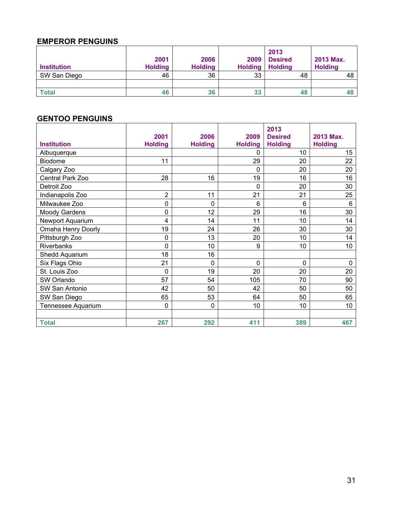#### **EMPEROR PENGUINS**

|                    | 2001           | 2006           | 2009    | 2013<br><b>Desired</b> | 2013 Max.      |
|--------------------|----------------|----------------|---------|------------------------|----------------|
| <b>Institution</b> | <b>Holding</b> | <b>Holding</b> | Holding | <b>Holding</b>         | <b>Holding</b> |
| SW San Diego       | 46             | 36             | 33      | 48                     | 48             |
|                    |                |                |         |                        |                |
| <b>Total</b>       | 46             | 36             | 33      | 48                     |                |

#### **GENTOO PENGUINS**

|                      | 2001           | 2006           | 2009           | 2013<br><b>Desired</b> | 2013 Max.      |
|----------------------|----------------|----------------|----------------|------------------------|----------------|
| <b>Institution</b>   | <b>Holding</b> | <b>Holding</b> | <b>Holding</b> | <b>Holding</b>         | <b>Holding</b> |
| Albuquerque          |                |                | $\Omega$       | 10                     | 15             |
| <b>Biodome</b>       | 11             |                | 29             | 20                     | 22             |
| Calgary Zoo          |                |                | 0              | 20                     | 20             |
| Central Park Zoo     | 28             | 16             | 19             | 16                     | 16             |
| Detroit Zoo          |                |                | 0              | 20                     | 30             |
| Indianapolis Zoo     | 2              | 11             | 21             | 21                     | 25             |
| Milwaukee Zoo        | 0              | 0              | 6              | 6                      | 6              |
| <b>Moody Gardens</b> | 0              | 12             | 29             | 16                     | 30             |
| Newport Aquarium     | 4              | 14             | 11             | 10                     | 14             |
| Omaha Henry Doorly   | 19             | 24             | 26             | 30                     | 30             |
| Pittsburgh Zoo       | $\mathbf 0$    | 13             | 20             | 10                     | 14             |
| Riverbanks           | 0              | 10             | 9              | 10                     | 10             |
| Shedd Aquarium       | 18             | 16             |                |                        |                |
| Six Flags Ohio       | 21             | 0              | $\Omega$       | $\Omega$               | $\mathbf 0$    |
| St. Louis Zoo        | $\mathbf 0$    | 19             | 20             | 20                     | 20             |
| SW Orlando           | 57             | 54             | 105            | 70                     | 90             |
| SW San Antonio       | 42             | 50             | 42             | 50                     | 50             |
| SW San Diego         | 65             | 53             | 64             | 50                     | 65             |
| Tennessee Aquarium   | 0              | 0              | 10             | 10                     | 10             |
|                      |                |                |                |                        |                |
| <b>Total</b>         | 267            | 292            | 411            | 389                    | 467            |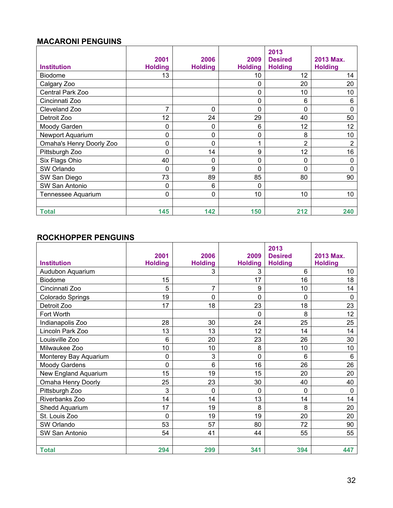#### **MACARONI PENGUINS**

| <b>Institution</b>       | 2001<br><b>Holding</b> | 2006<br><b>Holding</b> | 2009<br><b>Holding</b> | 2013<br><b>Desired</b><br><b>Holding</b> | 2013 Max.<br><b>Holding</b> |
|--------------------------|------------------------|------------------------|------------------------|------------------------------------------|-----------------------------|
| <b>Biodome</b>           | 13                     |                        | 10                     | 12                                       | 14                          |
| Calgary Zoo              |                        |                        | 0                      | 20                                       | 20                          |
| Central Park Zoo         |                        |                        | $\mathbf 0$            | 10                                       | 10                          |
| Cincinnati Zoo           |                        |                        | $\mathbf 0$            | 6                                        | 6                           |
| Cleveland Zoo            | 7                      | 0                      | $\mathbf 0$            | 0                                        | 0                           |
| Detroit Zoo              | 12                     | 24                     | 29                     | 40                                       | 50                          |
| Moody Garden             | 0                      | 0                      | 6                      | 12                                       | 12                          |
| Newport Aquarium         | 0                      | 0                      | 0                      | 8                                        | 10                          |
| Omaha's Henry Doorly Zoo | 0                      | 0                      |                        | 2                                        | 2                           |
| Pittsburgh Zoo           | 0                      | 14                     | 9                      | 12                                       | 16                          |
| Six Flags Ohio           | 40                     | 0                      | 0                      | 0                                        | $\mathbf{0}$                |
| SW Orlando               | 0                      | 9                      | $\mathbf 0$            | 0                                        | $\Omega$                    |
| SW San Diego             | 73                     | 89                     | 85                     | 80                                       | 90                          |
| SW San Antonio           | 0                      | 6                      | $\mathbf{0}$           |                                          |                             |
| Tennessee Aquarium       | 0                      | 0                      | 10                     | 10                                       | 10                          |
|                          |                        |                        |                        |                                          |                             |
| <b>Total</b>             | 145                    | 142                    | 150                    | 212                                      | 240                         |

#### **ROCKHOPPER PENGUINS**

| <b>Institution</b>              | 2001<br><b>Holding</b> | 2006<br><b>Holding</b> | 2009<br><b>Holding</b> | 2013<br><b>Desired</b><br><b>Holding</b> | 2013 Max.<br><b>Holding</b> |
|---------------------------------|------------------------|------------------------|------------------------|------------------------------------------|-----------------------------|
| Audubon Aquarium                |                        | 3                      | 3                      | 6                                        | 10                          |
| <b>Biodome</b>                  | 15                     |                        | 17                     | 16                                       | 18                          |
| Cincinnati Zoo                  | 5                      | $\overline{7}$         | 9                      | 10                                       | 14                          |
|                                 | 19                     | 0                      | 0                      | 0                                        | $\mathbf{0}$                |
| Colorado Springs<br>Detroit Zoo | 17                     | 18                     | 23                     | 18                                       | 23                          |
| Fort Worth                      |                        |                        | 0                      | 8                                        | 12                          |
|                                 |                        | 30                     | 24                     |                                          |                             |
| Indianapolis Zoo                | 28<br>13               | 13                     | 12                     | 25<br>14                                 | 25<br>14                    |
| Lincoln Park Zoo                | 6                      | 20                     |                        |                                          |                             |
| Louisville Zoo                  |                        |                        | 23                     | 26                                       | 30                          |
| Milwaukee Zoo                   | 10                     | 10                     | 8                      | 10                                       | 10                          |
| Monterey Bay Aquarium           | 0                      | 3                      | 0                      | 6                                        | 6                           |
| <b>Moody Gardens</b>            | 0                      | 6                      | 16                     | 26                                       | 26                          |
| New England Aquarium            | 15                     | 19                     | 15                     | 20                                       | 20                          |
| Omaha Henry Doorly              | 25                     | 23                     | 30                     | 40                                       | 40                          |
| Pittsburgh Zoo                  | 3                      | 0                      | 0                      | 0                                        | $\mathbf 0$                 |
| Riverbanks Zoo                  | 14                     | 14                     | 13                     | 14                                       | 14                          |
| Shedd Aquarium                  | 17                     | 19                     | 8                      | 8                                        | 20                          |
| St. Louis Zoo                   | 0                      | 19                     | 19                     | 20                                       | 20                          |
| SW Orlando                      | 53                     | 57                     | 80                     | 72                                       | 90                          |
| SW San Antonio                  | 54                     | 41                     | 44                     | 55                                       | 55                          |
|                                 |                        |                        |                        |                                          |                             |
| <b>Total</b>                    | 294                    | 299                    | 341                    | 394                                      | 447                         |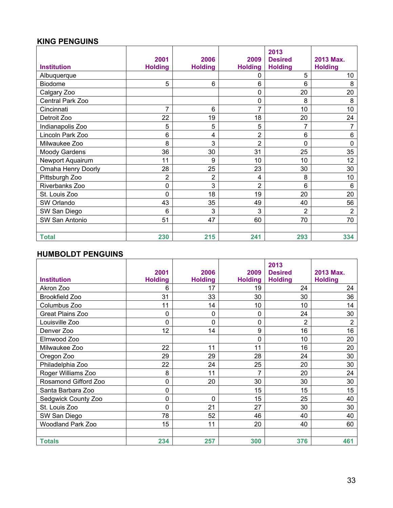#### **KING PENGUINS**

| <b>KING PENGUINS</b> |                        |                        |                        |                                          |                             |
|----------------------|------------------------|------------------------|------------------------|------------------------------------------|-----------------------------|
| <b>Institution</b>   | 2001<br><b>Holding</b> | 2006<br><b>Holding</b> | 2009<br><b>Holding</b> | 2013<br><b>Desired</b><br><b>Holding</b> | 2013 Max.<br><b>Holding</b> |
| Albuquerque          |                        |                        | 0                      | 5                                        | 10                          |
| <b>Biodome</b>       | 5                      | 6                      | 6                      | 6                                        | 8                           |
| Calgary Zoo          |                        |                        | $\mathbf 0$            | 20                                       | 20                          |
| Central Park Zoo     |                        |                        | $\pmb{0}$              | 8                                        | 8                           |
| Cincinnati           | 7                      | 6                      | 7                      | 10                                       | 10                          |
| Detroit Zoo          | 22                     | 19                     | 18                     | 20                                       | 24                          |
| Indianapolis Zoo     | 5                      | 5                      | 5                      | 7                                        |                             |
| Lincoln Park Zoo     | 6                      | 4                      | 2                      | 6                                        | $6\phantom{1}$              |
| Milwaukee Zoo        | 8                      | 3                      | 2                      | 0                                        | $\mathbf 0$                 |
| Moody Gardens        | 36                     | 30                     | 31                     | 25                                       | 35                          |
| Newport Aquairum     | 11                     | 9                      | 10                     | 10                                       | 12                          |
| Omaha Henry Doorly   | 28                     | 25                     | 23                     | 30                                       | 30                          |
| Pittsburgh Zoo       | 2                      | $\overline{2}$         | 4                      | 8                                        | 10                          |
| Riverbanks Zoo       | 0                      | 3                      | $\overline{2}$         | 6                                        | 6                           |
| St. Louis Zoo        | 0                      | 18                     | 19                     | 20                                       | 20                          |
| SW Orlando           | 43                     | 35                     | 49                     | 40                                       | 56                          |
| SW San Diego         | 6                      | 3                      | 3                      | $\overline{2}$                           | $\overline{2}$              |
| SW San Antonio       | 51                     | 47                     | 60                     | 70                                       | 70                          |
| <b>Total</b>         | 230                    | 215                    | 241                    | 293                                      | 334                         |

#### **HUMBOLDT PENGUINS**

|                          | 2001           | 2006           | 2009           | 2013<br><b>Desired</b> | 2013 Max.      |
|--------------------------|----------------|----------------|----------------|------------------------|----------------|
| <b>Institution</b>       | <b>Holding</b> | <b>Holding</b> | <b>Holding</b> | <b>Holding</b>         | <b>Holding</b> |
| Akron Zoo                | 6              | 17             | 19             | 24                     | 24             |
| <b>Brookfield Zoo</b>    | 31             | 33             | 30             | 30                     | 36             |
| Columbus Zoo             | 11             | 14             | 10             | 10                     | 14             |
| <b>Great Plains Zoo</b>  | 0              | 0              | $\mathbf 0$    | 24                     | 30             |
| Louisville Zoo           | 0              | 0              | 0              | $\overline{2}$         | $\overline{2}$ |
| Denver Zoo               | 12             | 14             | 9              | 16                     | 16             |
| Elmwood Zoo              |                |                | 0              | 10                     | 20             |
| Milwaukee Zoo            | 22             | 11             | 11             | 16                     | 20             |
| Oregon Zoo               | 29             | 29             | 28             | 24                     | 30             |
| Philadelphia Zoo         | 22             | 24             | 25             | 20                     | 30             |
| Roger Williams Zoo       | 8              | 11             | 7              | 20                     | 24             |
| Rosamond Gifford Zoo     | 0              | 20             | 30             | 30                     | 30             |
| Santa Barbara Zoo        | 0              |                | 15             | 15                     | 15             |
| Sedgwick County Zoo      | 0              | 0              | 15             | 25                     | 40             |
| St. Louis Zoo            | 0              | 21             | 27             | 30                     | 30             |
| SW San Diego             | 78             | 52             | 46             | 40                     | 40             |
| <b>Woodland Park Zoo</b> | 15             | 11             | 20             | 40                     | 60             |
|                          |                |                |                |                        |                |
| <b>Totals</b>            | 234            | 257            | 300            | 376                    | 461            |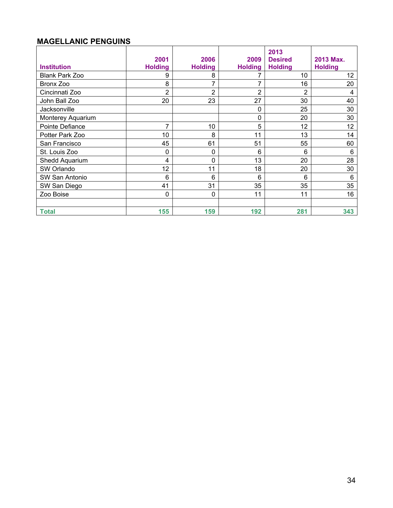#### **MAGELLANIC PENGUINS**

| <b>Institution</b> | 2001<br><b>Holding</b> | 2006<br><b>Holding</b> | 2009<br><b>Holding</b> | 2013<br><b>Desired</b><br><b>Holding</b> | 2013 Max.<br><b>Holding</b> |
|--------------------|------------------------|------------------------|------------------------|------------------------------------------|-----------------------------|
| Blank Park Zoo     | 9                      | 8                      |                        | 10                                       | 12                          |
| Bronx Zoo          | 8                      | 7                      | 7                      | 16                                       | 20                          |
| Cincinnati Zoo     | $\overline{2}$         | $\overline{2}$         | 2                      | $\overline{2}$                           | 4                           |
| John Ball Zoo      | 20                     | 23                     | 27                     | 30                                       | 40                          |
| Jacksonville       |                        |                        | 0                      | 25                                       | 30                          |
| Monterey Aquarium  |                        |                        | 0                      | 20                                       | 30                          |
| Pointe Defiance    | $\overline{7}$         | 10                     | 5                      | 12                                       | 12                          |
| Potter Park Zoo    | 10                     | 8                      | 11                     | 13                                       | 14                          |
| San Francisco      | 45                     | 61                     | 51                     | 55                                       | 60                          |
| St. Louis Zoo      | 0                      | 0                      | 6                      | 6                                        | 6                           |
| Shedd Aquarium     | 4                      | 0                      | 13                     | 20                                       | 28                          |
| SW Orlando         | 12                     | 11                     | 18                     | 20                                       | 30                          |
| SW San Antonio     | 6                      | 6                      | 6                      | 6                                        | 6                           |
| SW San Diego       | 41                     | 31                     | 35                     | 35                                       | 35                          |
| Zoo Boise          | 0                      | 0                      | 11                     | 11                                       | 16                          |
|                    |                        |                        |                        |                                          |                             |
| <b>Total</b>       | 155                    | 159                    | 192                    | 281                                      | 343                         |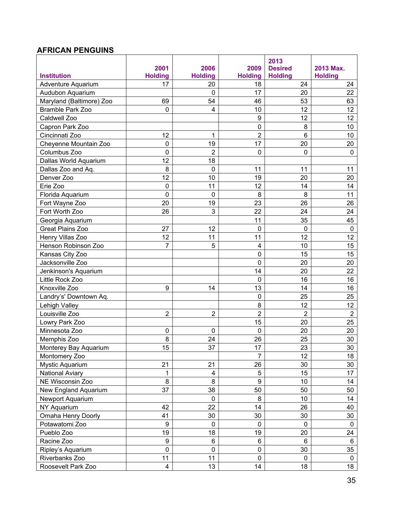## **AFRICAN PENGUINS**

|                          |                         |                         |                         | 2013           |                 |
|--------------------------|-------------------------|-------------------------|-------------------------|----------------|-----------------|
|                          | 2001                    | 2006                    | 2009                    | <b>Desired</b> | 2013 Max.       |
| <b>Institution</b>       | <b>Holding</b>          | <b>Holding</b>          | <b>Holding</b>          | <b>Holding</b> | <b>Holding</b>  |
| Adventure Aquarium       | 17                      | 20                      | 18                      | 24             | 24              |
| Audubon Aquarium         |                         | $\mathbf 0$             | 17                      | 20             | 22              |
| Maryland (Baltimore) Zoo | 69                      | 54                      | 46                      | 53             | 63              |
| Bramble Park Zoo         | 0                       | 4                       | 10                      | 12             | 12              |
| Caldwell Zoo             |                         |                         | 9                       | 12             | 12              |
| Capron Park Zoo          |                         |                         | $\mathsf 0$             | 8              | 10              |
| Cincinnati Zoo           | 12                      | 1                       | $\overline{2}$          | $6\phantom{1}$ | 10              |
| Cheyenne Mountain Zoo    | $\mathbf 0$             | 19                      | 17                      | 20             | 20              |
| Columbus Zoo             | $\pmb{0}$               | $\overline{2}$          | 0                       | $\mathbf 0$    | $\mathbf 0$     |
| Dallas World Aquarium    | 12                      | 18                      |                         |                |                 |
| Dallas Zoo and Aq.       | 8                       | 0                       | 11                      | 11             | 11              |
| Denver Zoo               | 12                      | 10                      | 19                      | 20             | 20              |
| Erie Zoo                 | $\pmb{0}$               | 11                      | 12                      | 14             | 14              |
| Florida Aquarium         | $\mathbf 0$             | 0                       | 8                       | 8              | 11              |
| Fort Wayne Zoo           | 20                      | 19                      | 23                      | 26             | 26              |
| Fort Worth Zoo           | 26                      | 3                       | 22                      | 24             | 24              |
| Georgia Aquarium         |                         |                         | 11                      | 35             | 45              |
| Great Plains Zoo         | 27                      | 12                      | $\mathbf 0$             | $\mathbf 0$    | $\mathbf 0$     |
| Henry Villas Zoo         | 12                      | 11                      | 11                      | 12             | 12              |
| Henson Robinson Zoo      | $\overline{7}$          | 5                       | $\overline{\mathbf{4}}$ | 10             | 15              |
| Kansas City Zoo          |                         |                         | $\mathsf 0$             | 15             | 15              |
| Jacksonville Zoo         |                         |                         | $\mathbf 0$             | 20             | 20              |
| Jenkinson's Aquarium     |                         |                         | 14                      | 20             | 22              |
| Little Rock Zoo          |                         |                         | $\mathbf 0$             | 16             | 16              |
| Knoxville Zoo            | $\boldsymbol{9}$        | 14                      | 13                      | 14             | 16              |
| Landry's' Downtown Aq.   |                         |                         | $\mathsf 0$             | 25             | 25              |
| Lehigh Valley            |                         |                         | 8                       | 12             | 12              |
| Louisville Zoo           | $\overline{2}$          | $\overline{2}$          | $\overline{2}$          | $\overline{2}$ | $\overline{2}$  |
| Lowry Park Zoo           |                         |                         | 15                      | 20             | 25              |
| Minnesota Zoo            | 0                       | 0                       | $\mathbf 0$             | 20             | 20              |
| Memphis Zoo              | 8                       | 24                      | 26                      | 25             | 30              |
| Monterey Bay Aquarium    | 15                      | 37                      | 17                      | 23             | 30              |
| Montomery Zoo            |                         |                         | $\overline{7}$          | 12             | 18              |
| Mystic Aquarium          | 21                      | 21                      | 26                      | 30             | 30              |
| National Aviary          | 1                       | $\overline{\mathbf{4}}$ | 5                       | 15             | 17              |
| NE Wisconsin Zoo         | 8                       | 8                       | 9                       | 10             | 14              |
| New England Aquarium     | 37                      | 38                      | 50                      | 50             | 50              |
| Newport Aquarium         |                         | $\pmb{0}$               | $\bf 8$                 | 10             | 14              |
| NY Aquarium              | 42                      | 22                      | 14                      | 26             | 40              |
| Omaha Henry Doorly       | 41                      | 30                      | 30                      | 30             | 30              |
| Potawatomi Zoo           | 9                       | 0                       | 0                       | $\mathbf 0$    | $\mathbf 0$     |
| Pueblo Zoo               | 19                      | 18                      | 19                      | 20             | 24              |
| Racine Zoo               | $\boldsymbol{9}$        | 6                       | 6                       | 6              | $6\phantom{1}6$ |
| Ripley's Aquarium        | $\mathbf 0$             | $\mathsf 0$             | 0                       | 30             | 35              |
| Riverbanks Zoo           | 11                      | 11                      | $\pmb{0}$               | 0              | $\mathbf 0$     |
| Roosevelt Park Zoo       | $\overline{\mathbf{4}}$ | 13                      | 14                      | 18             | 18              |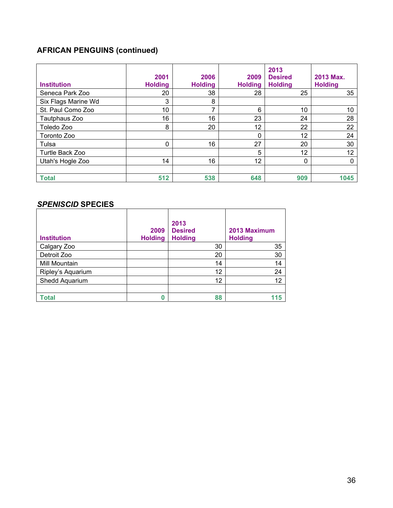## **AFRICAN PENGUINS (continued)**

| <b>Institution</b>  | 2001<br><b>Holding</b> | 2006<br><b>Holding</b> | 2009<br><b>Holding</b> | 2013<br><b>Desired</b><br><b>Holding</b> | 2013 Max.<br><b>Holding</b> |
|---------------------|------------------------|------------------------|------------------------|------------------------------------------|-----------------------------|
| Seneca Park Zoo     | 20                     | 38                     | 28                     | 25                                       | 35                          |
| Six Flags Marine Wd | 3                      | 8                      |                        |                                          |                             |
| St. Paul Como Zoo   | 10                     | ⇁                      | 6                      | 10                                       | 10                          |
| Tautphaus Zoo       | 16                     | 16                     | 23                     | 24                                       | 28                          |
| Toledo Zoo          | 8                      | 20                     | 12                     | 22                                       | 22                          |
| Toronto Zoo         |                        |                        | 0                      | 12                                       | 24                          |
| Tulsa               | 0                      | 16                     | 27                     | 20                                       | 30                          |
| Turtle Back Zoo     |                        |                        | 5                      | 12                                       | 12                          |
| Utah's Hogle Zoo    | 14                     | 16                     | 12                     | 0                                        | $\mathbf{0}$                |
| <b>Total</b>        | 512                    | 538                    | 648                    | 909                                      | 1045                        |

#### *SPENISCID* **SPECIES**

| <b>Institution</b> | 2009<br><b>Holding</b> | 2013<br><b>Desired</b><br><b>Holding</b> | 2013 Maximum<br><b>Holding</b> |
|--------------------|------------------------|------------------------------------------|--------------------------------|
| Calgary Zoo        |                        | 30                                       | 35                             |
| Detroit Zoo        |                        | 20                                       | 30                             |
| Mill Mountain      |                        | 14                                       | 14                             |
| Ripley's Aquarium  |                        | 12                                       | 24                             |
| Shedd Aquarium     |                        | 12                                       | 12                             |
|                    |                        |                                          |                                |
| <b>Total</b>       | 0                      | 88                                       | 115                            |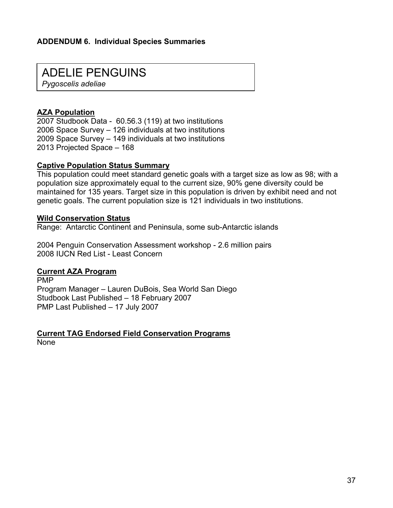## ADELIE PENGUINS

*Pygoscelis adeliae* 

#### **AZA Population**

2007 Studbook Data - 60.56.3 (119) at two institutions 2006 Space Survey – 126 individuals at two institutions 2009 Space Survey – 149 individuals at two institutions 2013 Projected Space – 168

#### **Captive Population Status Summary**

This population could meet standard genetic goals with a target size as low as 98; with a population size approximately equal to the current size, 90% gene diversity could be maintained for 135 years. Target size in this population is driven by exhibit need and not genetic goals. The current population size is 121 individuals in two institutions.

#### **Wild Conservation Status**

Range: Antarctic Continent and Peninsula, some sub-Antarctic islands

2004 Penguin Conservation Assessment workshop - 2.6 million pairs 2008 IUCN Red List - Least Concern

#### **Current AZA Program**

PMP Program Manager – Lauren DuBois, Sea World San Diego Studbook Last Published – 18 February 2007 PMP Last Published – 17 July 2007

**Current TAG Endorsed Field Conservation Programs** None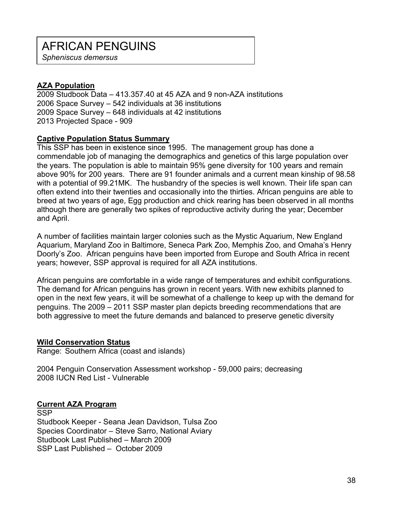# AFRICAN PENGUINS

*Spheniscus demersus* 

#### **AZA Population**

2009 Studbook Data – 413.357.40 at 45 AZA and 9 non-AZA institutions 2006 Space Survey – 542 individuals at 36 institutions 2009 Space Survey – 648 individuals at 42 institutions 2013 Projected Space - 909

#### **Captive Population Status Summary**

This SSP has been in existence since 1995. The management group has done a commendable job of managing the demographics and genetics of this large population over the years. The population is able to maintain 95% gene diversity for 100 years and remain above 90% for 200 years. There are 91 founder animals and a current mean kinship of 98.58 with a potential of 99.21MK. The husbandry of the species is well known. Their life span can often extend into their twenties and occasionally into the thirties. African penguins are able to breed at two years of age, Egg production and chick rearing has been observed in all months although there are generally two spikes of reproductive activity during the year; December and April.

A number of facilities maintain larger colonies such as the Mystic Aquarium, New England Aquarium, Maryland Zoo in Baltimore, Seneca Park Zoo, Memphis Zoo, and Omaha's Henry Doorly's Zoo. African penguins have been imported from Europe and South Africa in recent years; however, SSP approval is required for all AZA institutions.

African penguins are comfortable in a wide range of temperatures and exhibit configurations. The demand for African penguins has grown in recent years. With new exhibits planned to open in the next few years, it will be somewhat of a challenge to keep up with the demand for penguins. The 2009 – 2011 SSP master plan depicts breeding recommendations that are both aggressive to meet the future demands and balanced to preserve genetic diversity

#### **Wild Conservation Status**

Range: Southern Africa (coast and islands)

2004 Penguin Conservation Assessment workshop - 59,000 pairs; decreasing 2008 IUCN Red List - Vulnerable

#### **Current AZA Program**

**SSP** Studbook Keeper - Seana Jean Davidson, Tulsa Zoo Species Coordinator – Steve Sarro, National Aviary Studbook Last Published – March 2009 SSP Last Published – October 2009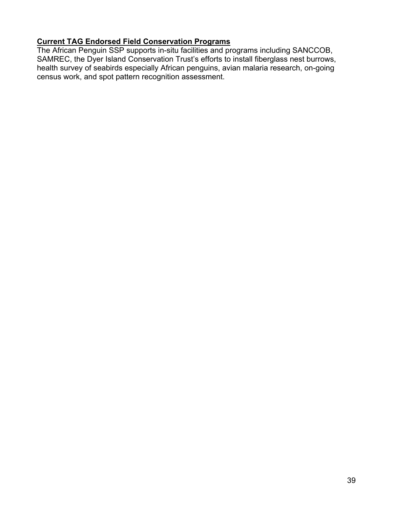## **Current TAG Endorsed Field Conservation Programs**

The African Penguin SSP supports in-situ facilities and programs including SANCCOB, SAMREC, the Dyer Island Conservation Trust's efforts to install fiberglass nest burrows, health survey of seabirds especially African penguins, avian malaria research, on-going census work, and spot pattern recognition assessment.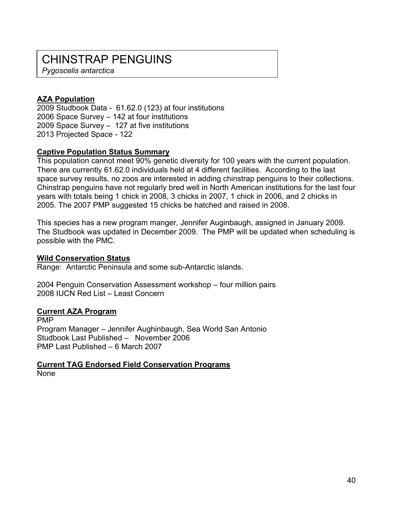## CHINSTRAP PENGUINS

*Pygoscelis antarctica* 

#### **AZA Population**

2009 Studbook Data - 61.62.0 (123) at four institutions 2006 Space Survey – 142 at four institutions 2009 Space Survey – 127 at five institutions 2013 Projected Space - 122

#### **Captive Population Status Summary**

This population cannot meet 90% genetic diversity for 100 years with the current population. There are currently 61.62.0 individuals held at 4 different facilities. According to the last space survey results, no zoos are interested in adding chinstrap penguins to their collections. Chinstrap penguins have not regularly bred well in North American institutions for the last four years with totals being 1 chick in 2008, 3 chicks in 2007, 1 chick in 2006, and 2 chicks in 2005. The 2007 PMP suggested 15 chicks be hatched and raised in 2008.

This species has a new program manger, Jennifer Auginbaugh, assigned in January 2009. The Studbook was updated in December 2009. The PMP will be updated when scheduling is possible with the PMC.

#### **Wild Conservation Status**

Range: Antarctic Peninsula and some sub-Antarctic islands.

2004 Penguin Conservation Assessment workshop – four million pairs 2008 IUCN Red List – Least Concern

#### **Current AZA Program**

PMP Program Manager – Jennifer Aughinbaugh, Sea World San Antonio Studbook Last Published – November 2006 PMP Last Published – 6 March 2007

**Current TAG Endorsed Field Conservation Programs** None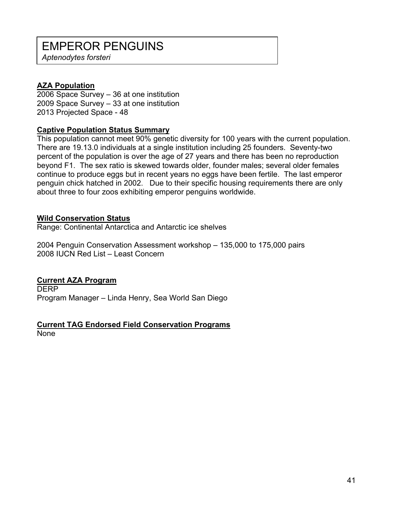## EMPEROR PENGUINS

*Aptenodytes forsteri* 

#### **AZA Population**

2006 Space Survey – 36 at one institution 2009 Space Survey – 33 at one institution 2013 Projected Space - 48

#### **Captive Population Status Summary**

This population cannot meet 90% genetic diversity for 100 years with the current population. There are 19.13.0 individuals at a single institution including 25 founders. Seventy-two percent of the population is over the age of 27 years and there has been no reproduction beyond F1. The sex ratio is skewed towards older, founder males; several older females continue to produce eggs but in recent years no eggs have been fertile. The last emperor penguin chick hatched in 2002. Due to their specific housing requirements there are only about three to four zoos exhibiting emperor penguins worldwide.

#### **Wild Conservation Status**

Range: Continental Antarctica and Antarctic ice shelves

2004 Penguin Conservation Assessment workshop – 135,000 to 175,000 pairs 2008 IUCN Red List – Least Concern

#### **Current AZA Program**

**DERP** Program Manager – Linda Henry, Sea World San Diego

#### **Current TAG Endorsed Field Conservation Programs**

None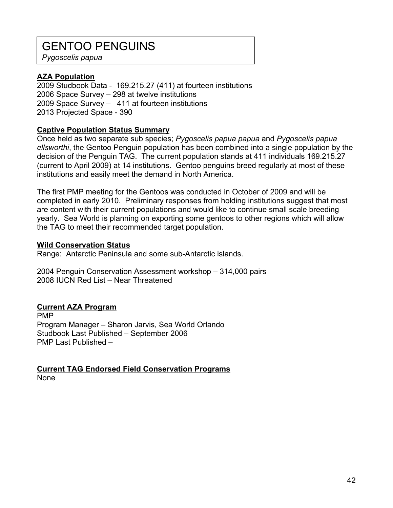## GENTOO PENGUINS

*Pygoscelis papua* 

#### **AZA Population**

2009 Studbook Data - 169.215.27 (411) at fourteen institutions 2006 Space Survey – 298 at twelve institutions 2009 Space Survey – 411 at fourteen institutions 2013 Projected Space - 390

#### **Captive Population Status Summary**

Once held as two separate sub species; *Pygoscelis papua papua* and *Pygoscelis papua ellsworthi*, the Gentoo Penguin population has been combined into a single population by the decision of the Penguin TAG. The current population stands at 411 individuals 169.215.27 (current to April 2009) at 14 institutions. Gentoo penguins breed regularly at most of these institutions and easily meet the demand in North America.

The first PMP meeting for the Gentoos was conducted in October of 2009 and will be completed in early 2010. Preliminary responses from holding institutions suggest that most are content with their current populations and would like to continue small scale breeding yearly. Sea World is planning on exporting some gentoos to other regions which will allow the TAG to meet their recommended target population.

#### **Wild Conservation Status**

Range: Antarctic Peninsula and some sub-Antarctic islands.

2004 Penguin Conservation Assessment workshop – 314,000 pairs 2008 IUCN Red List – Near Threatened

#### **Current AZA Program**

PMP Program Manager – Sharon Jarvis, Sea World Orlando Studbook Last Published – September 2006 PMP Last Published –

## **Current TAG Endorsed Field Conservation Programs**

None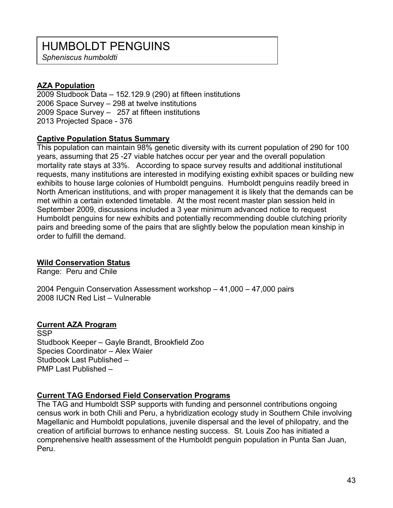## HUMBOLDT PENGUINS

*Spheniscus humboldti* 

#### **AZA Population**

2009 Studbook Data – 152.129.9 (290) at fifteen institutions 2006 Space Survey – 298 at twelve institutions 2009 Space Survey – 257 at fifteen institutions 2013 Projected Space - 376

#### **Captive Population Status Summary**

This population can maintain 98% genetic diversity with its current population of 290 for 100 years, assuming that 25 -27 viable hatches occur per year and the overall population mortality rate stays at 33%. According to space survey results and additional institutional requests, many institutions are interested in modifying existing exhibit spaces or building new exhibits to house large colonies of Humboldt penguins. Humboldt penguins readily breed in North American institutions, and with proper management it is likely that the demands can be met within a certain extended timetable. At the most recent master plan session held in September 2009, discussions included a 3 year minimum advanced notice to request Humboldt penguins for new exhibits and potentially recommending double clutching priority pairs and breeding some of the pairs that are slightly below the population mean kinship in order to fulfill the demand.

#### **Wild Conservation Status**

Range: Peru and Chile

2004 Penguin Conservation Assessment workshop – 41,000 – 47,000 pairs 2008 IUCN Red List – Vulnerable

#### **Current AZA Program**

**SSP** Studbook Keeper – Gayle Brandt, Brookfield Zoo Species Coordinator – Alex Waier Studbook Last Published – PMP Last Published –

#### **Current TAG Endorsed Field Conservation Programs**

The TAG and Humboldt SSP supports with funding and personnel contributions ongoing census work in both Chili and Peru, a hybridization ecology study in Southern Chile involving Magellanic and Humboldt populations, juvenile dispersal and the level of philopatry, and the creation of artificial burrows to enhance nesting success. St. Louis Zoo has initiated a comprehensive health assessment of the Humboldt penguin population in Punta San Juan, Peru.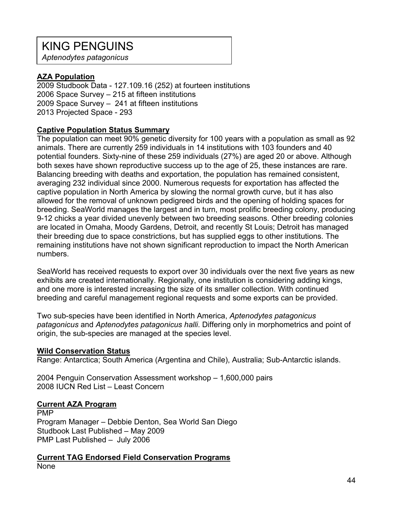## KING PENGUINS

*Aptenodytes patagonicus* 

#### **AZA Population**

2009 Studbook Data - 127.109.16 (252) at fourteen institutions 2006 Space Survey – 215 at fifteen institutions 2009 Space Survey – 241 at fifteen institutions 2013 Projected Space - 293

#### **Captive Population Status Summary**

The population can meet 90% genetic diversity for 100 years with a population as small as 92 animals. There are currently 259 individuals in 14 institutions with 103 founders and 40 potential founders. Sixty-nine of these 259 individuals (27%) are aged 20 or above. Although both sexes have shown reproductive success up to the age of 25, these instances are rare. Balancing breeding with deaths and exportation, the population has remained consistent, averaging 232 individual since 2000. Numerous requests for exportation has affected the captive population in North America by slowing the normal growth curve, but it has also allowed for the removal of unknown pedigreed birds and the opening of holding spaces for breeding. SeaWorld manages the largest and in turn, most prolific breeding colony, producing 9-12 chicks a year divided unevenly between two breeding seasons. Other breeding colonies are located in Omaha, Moody Gardens, Detroit, and recently St Louis; Detroit has managed their breeding due to space constrictions, but has supplied eggs to other institutions. The remaining institutions have not shown significant reproduction to impact the North American numbers.

SeaWorld has received requests to export over 30 individuals over the next five years as new exhibits are created internationally. Regionally, one institution is considering adding kings, and one more is interested increasing the size of its smaller collection. With continued breeding and careful management regional requests and some exports can be provided.

Two sub-species have been identified in North America, *Aptenodytes patagonicus patagonicus* and *Aptenodytes patagonicus halli*. Differing only in morphometrics and point of origin, the sub-species are managed at the species level.

#### **Wild Conservation Status**

Range: Antarctica; South America (Argentina and Chile), Australia; Sub-Antarctic islands.

2004 Penguin Conservation Assessment workshop – 1,600,000 pairs 2008 IUCN Red List – Least Concern

#### **Current AZA Program**

PMP Program Manager – Debbie Denton, Sea World San Diego Studbook Last Published – May 2009 PMP Last Published – July 2006

**Current TAG Endorsed Field Conservation Programs** None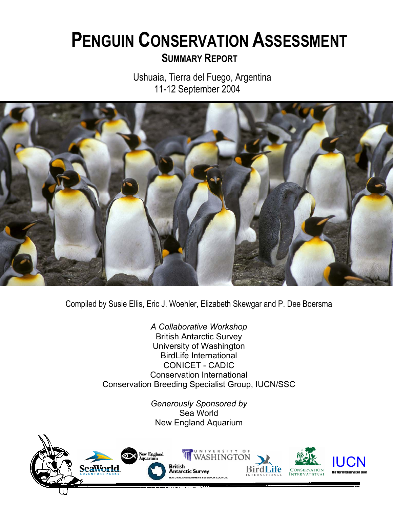# **PENGUIN CONSERVATION ASSESSMENTSUMMARY REPORT**

 Ushuaia, Tierra del Fuego, Argentina 11-12 September 2004



Compiled by Susie Ellis, Eric J. Woehler, Elizabeth Skewgar and P. Dee Boersma

*A Collaborative Workshop*  British Antarctic Survey University of Washington BirdLife International CONICET - CADIC Conservation International Conservation Breeding Specialist Group, IUCN/SSC

> *Generously Sponsored by*  Sea World New England Aquarium

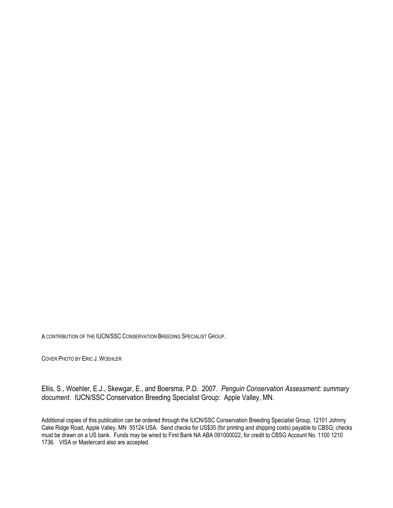A CONTRIBUTION OF THE IUCN/SSC CONSERVATION BREEDING SPECIALIST GROUP.

COVER PHOTO BY ERIC J. WOEHLER

Ellis, S., Woehler, E.J., Skewgar, E., and Boersma, P.D. 2007. *Penguin Conservation Assessment: summary document*. IUCN/SSC Conservation Breeding Specialist Group: Apple Valley, MN.

Additional copies of this publication can be ordered through the IUCN/SSC Conservation Breeding Specialist Group, 12101 Johnny Cake Ridge Road, Apple Valley, MN 55124 USA. Send checks for US\$35 (for printing and shipping costs) payable to CBSG; checks must be drawn on a US bank. Funds may be wired to First Bank NA ABA 091000022, for credit to CBSG Account No. 1100 1210 1736. VISA or Mastercard also are accepted.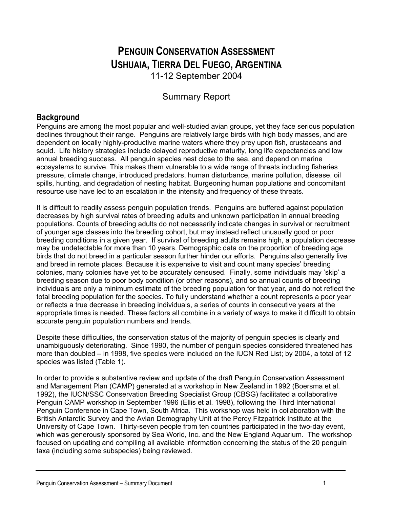## **PENGUIN CONSERVATION ASSESSMENT USHUAIA, TIERRA DEL FUEGO, ARGENTINA**

11-12 September 2004

### Summary Report

### **Background**

Penguins are among the most popular and well-studied avian groups, yet they face serious population declines throughout their range. Penguins are relatively large birds with high body masses, and are dependent on locally highly-productive marine waters where they prey upon fish, crustaceans and squid. Life history strategies include delayed reproductive maturity, long life expectancies and low annual breeding success. All penguin species nest close to the sea, and depend on marine ecosystems to survive. This makes them vulnerable to a wide range of threats including fisheries pressure, climate change, introduced predators, human disturbance, marine pollution, disease, oil spills, hunting, and degradation of nesting habitat. Burgeoning human populations and concomitant resource use have led to an escalation in the intensity and frequency of these threats.

It is difficult to readily assess penguin population trends. Penguins are buffered against population decreases by high survival rates of breeding adults and unknown participation in annual breeding populations. Counts of breeding adults do not necessarily indicate changes in survival or recruitment of younger age classes into the breeding cohort, but may instead reflect unusually good or poor breeding conditions in a given year. If survival of breeding adults remains high, a population decrease may be undetectable for more than 10 years. Demographic data on the proportion of breeding age birds that do not breed in a particular season further hinder our efforts. Penguins also generally live and breed in remote places. Because it is expensive to visit and count many species' breeding colonies, many colonies have yet to be accurately censused. Finally, some individuals may 'skip' a breeding season due to poor body condition (or other reasons), and so annual counts of breeding individuals are only a minimum estimate of the breeding population for that year, and do not reflect the total breeding population for the species. To fully understand whether a count represents a poor year or reflects a true decrease in breeding individuals, a series of counts in consecutive years at the appropriate times is needed. These factors all combine in a variety of ways to make it difficult to obtain accurate penguin population numbers and trends.

Despite these difficulties, the conservation status of the majority of penguin species is clearly and unambiguously deteriorating. Since 1990, the number of penguin species considered threatened has more than doubled – in 1998, five species were included on the IUCN Red List; by 2004, a total of 12 species was listed (Table 1).

In order to provide a substantive review and update of the draft Penguin Conservation Assessment and Management Plan (CAMP) generated at a workshop in New Zealand in 1992 (Boersma et al. 1992), the IUCN/SSC Conservation Breeding Specialist Group (CBSG) facilitated a collaborative Penguin CAMP workshop in September 1996 (Ellis et al. 1998), following the Third International Penguin Conference in Cape Town, South Africa. This workshop was held in collaboration with the British Antarctic Survey and the Avian Demography Unit at the Percy Fitzpatrick Institute at the University of Cape Town. Thirty-seven people from ten countries participated in the two-day event, which was generously sponsored by Sea World, Inc. and the New England Aquarium. The workshop focused on updating and compiling all available information concerning the status of the 20 penguin taxa (including some subspecies) being reviewed.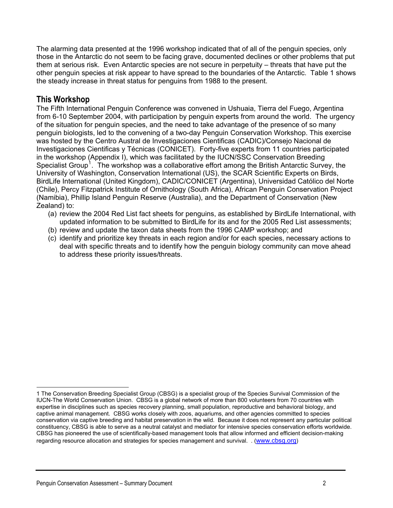The alarming data presented at the 1996 workshop indicated that of all of the penguin species, only those in the Antarctic do not seem to be facing grave, documented declines or other problems that put them at serious risk. Even Antarctic species are not secure in perpetuity – threats that have put the other penguin species at risk appear to have spread to the boundaries of the Antarctic. Table 1 shows the steady increase in threat status for penguins from 1988 to the present.

#### **This Workshop**

The Fifth International Penguin Conference was convened in Ushuaia, Tierra del Fuego, Argentina from 6-10 September 2004, with participation by penguin experts from around the world. The urgency of the situation for penguin species, and the need to take advantage of the presence of so many penguin biologists, led to the convening of a two-day Penguin Conservation Workshop. This exercise was hosted by the Centro Austral de Investigaciones Cientificas (CADIC)/Consejo Nacional de Investigaciones Cientificas y Técnicas (CONICET). Forty-five experts from 11 countries participated in the workshop (Appendix I), which was facilitated by the IUCN/SSC Conservation Breeding Specialist Group<sup>[1](#page-47-0)</sup>. The workshop was a collaborative effort among the British Antarctic Survey, the University of Washington, Conservation International (US), the SCAR Scientific Experts on Birds, BirdLife International (United Kingdom), CADIC/CONICET (Argentina), Universidad Católico del Norte (Chile), Percy Fitzpatrick Institute of Ornithology (South Africa), African Penguin Conservation Project (Namibia), Phillip Island Penguin Reserve (Australia), and the Department of Conservation (New Zealand) to:

- (a) review the 2004 Red List fact sheets for penguins, as established by BirdLife International, with updated information to be submitted to BirdLife for its and for the 2005 Red List assessments;
- (b) review and update the taxon data sheets from the 1996 CAMP workshop; and
- (c) identify and prioritize key threats in each region and/or for each species, necessary actions to deal with specific threats and to identify how the penguin biology community can move ahead to address these priority issues/threats.

<span id="page-47-0"></span>l 1 The Conservation Breeding Specialist Group (CBSG) is a specialist group of the Species Survival Commission of the IUCN-The World Conservation Union. CBSG is a global network of more than 800 volunteers from 70 countries with expertise in disciplines such as species recovery planning, small population, reproductive and behavioral biology, and captive animal management. CBSG works closely with zoos, aquariums, and other agencies committed to species conservation via captive breeding and habitat preservation in the wild. Because it does not represent any particular political constituency, CBSG is able to serve as a neutral catalyst and mediator for intensive species conservation efforts worldwide. CBSG has pioneered the use of scientifically-based management tools that allow informed and efficient decision-making regarding resource allocation and strategies for species management and survival. . [\(www.cbsg.org\)](http://www.cbsg.org/)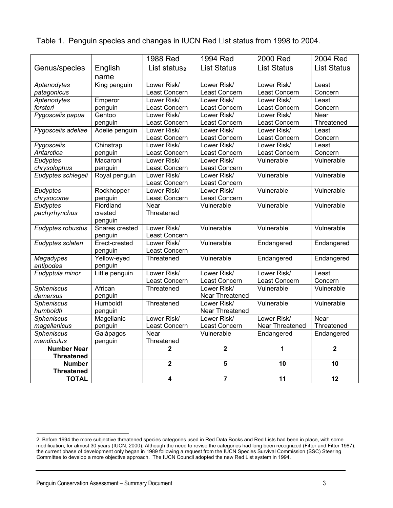| <b>TOTAL</b>                     |                           | 4                            | $\overline{7}$               | 11                           | 12                  |
|----------------------------------|---------------------------|------------------------------|------------------------------|------------------------------|---------------------|
| <b>Threatened</b>                |                           |                              |                              |                              |                     |
| <b>Number</b>                    |                           | $\overline{\mathbf{2}}$      | 5                            | 10                           | 10                  |
| <b>Threatened</b>                |                           | $\mathbf 2$                  |                              | 1                            |                     |
| mendiculus<br><b>Number Near</b> | penguin                   | Threatened                   | $\overline{2}$               |                              | $\overline{2}$      |
| <b>Spheniscus</b>                | Galápagos                 | Near                         | Vulnerable                   | Endangered                   | Endangered          |
| magellanicus                     | penguin                   | Least Concern                | Least Concern                | Near Threatened              | Threatened          |
| <b>Spheniscus</b>                | Magellanic                | Lower Risk/                  | Lower Risk/                  | Lower Risk/                  | Near                |
| humboldti                        | penguin                   |                              | Near Threatened              |                              |                     |
| <b>Spheniscus</b>                | Humboldt                  | Threatened                   | Lower Risk/                  | Vulnerable                   | Vulnerable          |
| demersus                         | penguin                   |                              | Near Threatened              |                              |                     |
| <b>Spheniscus</b>                | African                   | Threatened                   | Lower Risk/                  | Vulnerable                   | Vulnerable          |
|                                  |                           | Least Concern                | Least Concern                | Least Concern                | Concern             |
| Eudyptula minor                  | Little penguin            | Lower Risk/                  | Lower Risk/                  | Lower Risk/                  | Least               |
| antipodes                        | penguin                   |                              |                              |                              |                     |
| <b>Megadypes</b>                 | penguin<br>Yellow-eyed    | Threatened                   | Vulnerable                   | Endangered                   | Endangered          |
| Eudyptes sclateri                |                           | Least Concern                |                              | Endangered                   | Endangered          |
|                                  | penguin<br>Erect-crested  | Least Concern<br>Lower Risk/ | Vulnerable                   |                              |                     |
| Eudyptes robustus                | Snares crested            | Lower Risk/                  | Vulnerable                   | Vulnerable                   | Vulnerable          |
|                                  | penguin                   |                              |                              |                              |                     |
| pachyrhynchus                    | crested                   | Threatened                   |                              |                              |                     |
| Eudyptes                         | Fiordland                 | Near                         | Vulnerable                   | Vulnerable                   | Vulnerable          |
| chrysocome                       | penguin                   | Least Concern                | Least Concern                |                              |                     |
| Eudyptes                         | Rockhopper                | Lower Risk/                  | Lower Risk/                  | Vulnerable                   | Vulnerable          |
|                                  |                           | Least Concern                | Least Concern                |                              |                     |
| Eudyptes schlegeli               | Royal penguin             | Lower Risk/                  | Lower Risk/                  | Vulnerable                   | Vulnerable          |
| chrysolophus                     | penguin                   | Least Concern                | Least Concern                |                              |                     |
| Eudyptes                         | Macaroni                  | Lower Risk/                  | Lower Risk/                  | Vulnerable                   | Vulnerable          |
| Antarctica                       | penguin                   | Least Concern                | Least Concern                | Least Concern                | Concern             |
| Pygoscelis                       | Chinstrap                 | Lower Risk/                  | Lower Risk/                  | Lower Risk/                  | Least               |
|                                  |                           | Least Concern                | Least Concern                | Least Concern                | Concern             |
| Pygoscelis adeliae               | penguin<br>Adelie penguin | Least Concern<br>Lower Risk/ | Least Concern<br>Lower Risk/ | Least Concern<br>Lower Risk/ | Threatened<br>Least |
| Pygoscelis papua                 | Gentoo                    | Lower Risk/                  | Lower Risk/                  | Lower Risk/                  | Near                |
| forsteri                         | penguin                   | Least Concern                | Least Concern                | Least Concern                | Concern             |
| Aptenodytes                      | Emperor                   | Lower Risk/                  | Lower Risk/                  | Lower Risk/                  | Least               |
| patagonicus                      |                           | Least Concern                | Least Concern                | Least Concern                | Concern             |
| Aptenodytes                      | King penguin              | Lower Risk/                  | Lower Risk/                  | Lower Risk/                  | Least               |
|                                  | name                      |                              |                              |                              |                     |
| Genus/species                    | English                   | List status <sub>2</sub>     | <b>List Status</b>           | <b>List Status</b>           | <b>List Status</b>  |
|                                  |                           | 1988 Red                     | 1994 Red                     | 2000 Red                     | 2004 Red            |
|                                  |                           |                              |                              |                              |                     |

Table 1. Penguin species and changes in IUCN Red List status from 1998 to 2004.

<span id="page-48-0"></span>l

<sup>2</sup> Before 1994 the more subjective threatened species categories used in Red Data Books and Red Lists had been in place, with some modification, for almost 30 years (IUCN, 2000). Although the need to revise the categories had long been recognized (Fitter and Fitter 1987), the current phase of development only began in 1989 following a request from the IUCN Species Survival Commission (SSC) Steering Committee to develop a more objective approach. The IUCN Council adopted the new Red List system in 1994.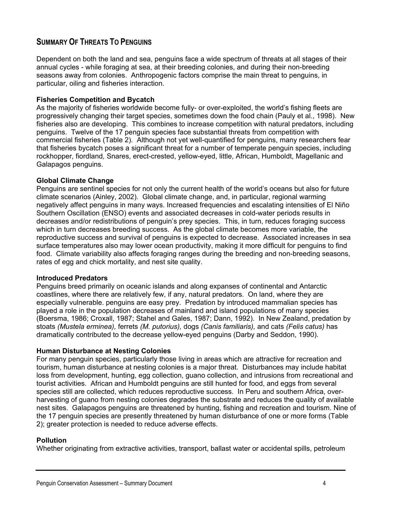#### **SUMMARY OF THREATS TO PENGUINS**

Dependent on both the land and sea, penguins face a wide spectrum of threats at all stages of their annual cycles - while foraging at sea, at their breeding colonies, and during their non-breeding seasons away from colonies. Anthropogenic factors comprise the main threat to penguins, in particular, oiling and fisheries interaction.

#### **Fisheries Competition and Bycatch**

As the majority of fisheries worldwide become fully- or over-exploited, the world's fishing fleets are progressively changing their target species, sometimes down the food chain (Pauly et al., 1998). New fisheries also are developing. This combines to increase competition with natural predators, including penguins. Twelve of the 17 penguin species face substantial threats from competition with commercial fisheries (Table 2). Although not yet well-quantified for penguins, many researchers fear that fisheries bycatch poses a significant threat for a number of temperate penguin species, including rockhopper, fiordland*,* Snares, erect-crested, yellow-eyed, little, African, Humboldt, Magellanic and Galapagos penguins.

#### **Global Climate Change**

Penguins are sentinel species for not only the current health of the world's oceans but also for future climate scenarios (Ainley, 2002). Global climate change, and, in particular, regional warming negatively affect penguins in many ways. Increased frequencies and escalating intensities of El Niño Southern Oscillation (ENSO) events and associated decreases in cold-water periods results in decreases and/or redistributions of penguin's prey species. This, in turn, reduces foraging success which in turn decreases breeding success. As the global climate becomes more variable, the reproductive success and survival of penguins is expected to decrease. Associated increases in sea surface temperatures also may lower ocean productivity, making it more difficult for penguins to find food. Climate variability also affects foraging ranges during the breeding and non-breeding seasons, rates of egg and chick mortality, and nest site quality.

#### **Introduced Predators**

Penguins breed primarily on oceanic islands and along expanses of continental and Antarctic coastlines, where there are relatively few, if any, natural predators. On land, where they are especially vulnerable. penguins are easy prey. Predation by introduced mammalian species has played a role in the population decreases of mainland and island populations of many species (Boersma, 1986; Croxall, 1987; Stahel and Gales, 1987; Dann, 1992). In New Zealand, predation by stoats *(Mustela erminea),* ferrets *(M. putorius),* dogs *(Canis familiaris),* and cats *(Felis catus)* has dramatically contributed to the decrease yellow-eyed penguins (Darby and Seddon, 1990).

#### **Human Disturbance at Nesting Colonies**

For many penguin species, particularly those living in areas which are attractive for recreation and tourism, human disturbance at nesting colonies is a major threat. Disturbances may include habitat loss from development, hunting, egg collection, guano collection, and intrusions from recreational and tourist activities. African and Humboldt penguins are still hunted for food, and eggs from several species still are collected, which reduces reproductive success. In Peru and southern Africa, overharvesting of guano from nesting colonies degrades the substrate and reduces the quality of available nest sites. Galapagos penguins are threatened by hunting, fishing and recreation and tourism. Nine of the 17 penguin species are presently threatened by human disturbance of one or more forms (Table 2); greater protection is needed to reduce adverse effects.

#### **Pollution**

Whether originating from extractive activities, transport, ballast water or accidental spills, petroleum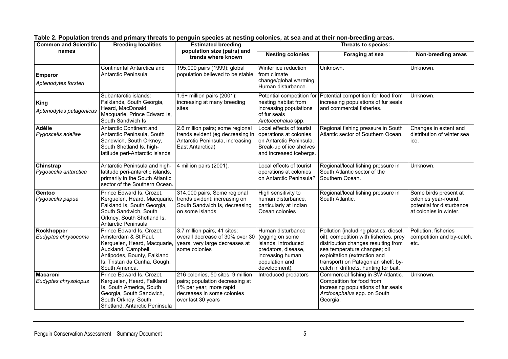| <b>Common and Scientific</b>            | <b>Breeding localities</b>                                                                                                                                                                | <b>Estimated breeding</b>                                                                                                                           | Threats to species:                                                                                                                       |                                                                                                                                                                                                                                                                         |                                                                                                      |  |
|-----------------------------------------|-------------------------------------------------------------------------------------------------------------------------------------------------------------------------------------------|-----------------------------------------------------------------------------------------------------------------------------------------------------|-------------------------------------------------------------------------------------------------------------------------------------------|-------------------------------------------------------------------------------------------------------------------------------------------------------------------------------------------------------------------------------------------------------------------------|------------------------------------------------------------------------------------------------------|--|
| names                                   |                                                                                                                                                                                           | population size (pairs) and<br>trends where known                                                                                                   | <b>Nesting colonies</b>                                                                                                                   | Foraging at sea                                                                                                                                                                                                                                                         | Non-breeding areas                                                                                   |  |
| <b>Emperor</b><br>Aptenodytes forsteri  | Continental Antarctica and<br>Antarctic Peninsula                                                                                                                                         | 195,000 pairs (1999); global<br>population believed to be stable                                                                                    | Winter ice reduction<br>from climate<br>change/global warming,<br>Human disturbance.                                                      | Unknown.                                                                                                                                                                                                                                                                | Unknown.                                                                                             |  |
| King<br>Aptenodytes patagonicus         | Subantarctic islands:<br>Falklands, South Georgia,<br>Heard, MacDonald,<br>Macquarie, Prince Edward Is,<br>South Sandwich Is                                                              | 1.6+ million pairs (2001);<br>increasing at many breeding<br>sites                                                                                  | Potential competition for<br>nesting habitat from<br>increasing populations<br>of fur seals<br>Arctocephalus spp.                         | Potential competition for food from<br>increasing populations of fur seals<br>and commercial fisheries.                                                                                                                                                                 | Unknown.                                                                                             |  |
| Adélie<br>Pygoscelis adeliae            | Antarctic Continent and<br>Antarctic Peninsula, South<br>Sandwich, South Orkney,<br>South Shetland Is, high-<br>latitude peri-Antarctic islands                                           | 2.6 million pairs; some regional<br>trends evident (eg decreasing in<br>Antarctic Peninsula, increasing<br>East Antarctica)                         | Local effects of tourist<br>operations at colonies<br>on Antarctic Peninsula.<br>Break-up of ice shelves<br>and increased icebergs.       | Regional fishing pressure in South<br>Atlantic sector of Southern Ocean.                                                                                                                                                                                                | Changes in extent and<br>distribution of winter sea<br>ice.                                          |  |
| Chinstrap<br>Pygoscelis antarctica      | Antarctic Peninsula and high-<br>latitude peri-antarctic islands,<br>primarily in the South Atlantic<br>sector of the Southern Ocean.                                                     | 4 million pairs (2001).                                                                                                                             | Local effects of tourist<br>operations at colonies<br>on Antarctic Peninsula?                                                             | Regional/local fishing pressure in<br>South Atlantic sector of the<br>Southern Ocean.                                                                                                                                                                                   | Unknown.                                                                                             |  |
| Gentoo<br>Pygoscelis papua              | Prince Edward Is, Crozet,<br>Kerguelen, Heard, Macquarie,<br>Falkland Is, South Georgia,<br>South Sandwich, South<br>Orkney, South Shetland Is,<br>Antarctic Peninsula                    | 314,000 pairs. Some regional<br>trends evident: increasing on<br>South Sandwich Is, decreasing<br>on some islands                                   | High sensitivity to<br>human disturbance,<br>particularly at Indian<br>Ocean colonies                                                     | Regional/local fishing pressure in<br>South Atlantic.                                                                                                                                                                                                                   | Some birds present at<br>colonies year-round,<br>potential for disturbance<br>at colonies in winter. |  |
| Rockhopper<br>Eudyptes chrysocome       | Prince Edward Is, Crozet,<br>Amsterdam & St Paul,<br>Kerguelen, Heard, Macquarie,<br>Auckland, Campbell,<br>Antipodes, Bounty, Falkland<br>Is, Tristan da Cunha, Gough,<br>South America. | 3.7 million pairs, 41 sites;<br>overall decrease of 30% over 30<br>years, very large decreases at<br>some colonies                                  | Human disturbance<br>(egging on some<br>islands, introduced<br>predators, disease,<br>increasing human<br>population and<br>development). | Pollution (including plastics, diesel,<br>oil), competition with fisheries, prey<br>distribution changes resulting from<br>sea temperature changes; oil<br>exploitation (extraction and<br>transport) on Patagonian shelf; by-<br>catch in driftnets, hunting for bait. | Pollution, fisheries<br>competition and by-catch,<br>etc.                                            |  |
| <b>Macaroni</b><br>Eudyptes chrysolopus | Prince Edward Is, Crozet,<br>Kerguelen, Heard, Falkland<br>Is, South America, South<br>Georgia, South Sandwich,<br>South Orkney, South<br>Shetland, Antarctic Peninsula                   | 216 colonies, 50 sites; 9 million<br>pairs; population decreasing at<br>1% per year; more rapid<br>decreases in some colonies<br>over last 30 years | Introduced predators                                                                                                                      | Commercial fishing in SW Atlantic.<br>Competition for food from<br>increasing populations of fur seals<br>Arctocephalus spp. on South<br>Georgia.                                                                                                                       | Unknown.                                                                                             |  |

| Table 2. Population trends and primary threats to penguin species at nesting colonies, at sea and at their non-breeding areas. |  |
|--------------------------------------------------------------------------------------------------------------------------------|--|
|--------------------------------------------------------------------------------------------------------------------------------|--|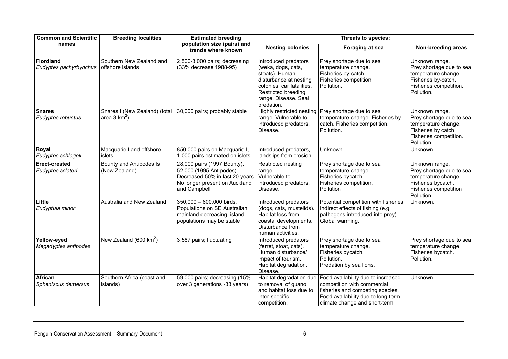| <b>Common and Scientific</b>               | <b>Breeding localities</b>                       | <b>Estimated breeding</b>                                                                                                                   | Threats to species:                                                                                                                                                              |                                                                                                                                                                              |                                                                                                                                  |  |
|--------------------------------------------|--------------------------------------------------|---------------------------------------------------------------------------------------------------------------------------------------------|----------------------------------------------------------------------------------------------------------------------------------------------------------------------------------|------------------------------------------------------------------------------------------------------------------------------------------------------------------------------|----------------------------------------------------------------------------------------------------------------------------------|--|
| names                                      |                                                  | population size (pairs) and<br>trends where known                                                                                           | <b>Nesting colonies</b>                                                                                                                                                          | Foraging at sea                                                                                                                                                              | Non-breeding areas                                                                                                               |  |
| <b>Fiordland</b><br>Eudyptes pachyrhynchus | Southern New Zealand and<br>offshore islands     | 2,500-3,000 pairs; decreasing<br>(33% decrease 1988-95)                                                                                     | Introduced predators<br>(weka, dogs, cats,<br>stoats). Human<br>disturbance at nesting<br>colonies; car fatalities.<br>Restricted breeding<br>range. Disease. Seal<br>predation. | Prey shortage due to sea<br>temperature change.<br>Fisheries by-catch<br>Fisheries competition<br>Pollution.                                                                 | Unknown range.<br>Prey shortage due to sea<br>temperature change.<br>Fisheries by-catch.<br>Fisheries competition.<br>Pollution. |  |
| <b>Snares</b><br>Eudyptes robustus         | Snares I (New Zealand) (total<br>area 3 $km^2$ ) | 30,000 pairs; probably stable                                                                                                               | Highly restricted nesting<br>range. Vulnerable to<br>introduced predators.<br>Disease.                                                                                           | Prey shortage due to sea<br>temperature change. Fisheries by<br>catch. Fisheries competition.<br>Pollution.                                                                  | Unknown range.<br>Prey shortage due to sea<br>temperature change.<br>Fisheries by catch<br>Fisheries competition.<br>Pollution.  |  |
| Royal<br>Eudyptes schlegeli                | Macquarie I and offshore<br>islets               | 850,000 pairs on Macquarie I,<br>1,000 pairs estimated on islets                                                                            | Introduced predators,<br>landslips from erosion.                                                                                                                                 | Unknown.                                                                                                                                                                     | Unknown.                                                                                                                         |  |
| <b>Erect-crested</b><br>Eudyptes sclateri  | Bounty and Antipodes Is<br>(New Zealand).        | 28,000 pairs (1997 Bounty),<br>52,000 (1995 Antipodes);<br>Decreased 50% in last 20 years.<br>No longer present on Auckland<br>and Campbell | Restricted nesting<br>range.<br>Vulnerable to<br>introduced predators.<br>Disease.                                                                                               | Prey shortage due to sea<br>temperature change.<br>Fisheries bycatch.<br>Fisheries competition.<br><b>Pollution</b>                                                          | Unknown range.<br>Prey shortage due to sea<br>temperature change.<br>Fisheries bycatch.<br>Fisheries competition<br>Pollution    |  |
| Little<br>Eudyptula minor                  | Australia and New Zealand                        | 350,000 - 600,000 birds.<br>Populations on SE Australian<br>mainland decreasing, island<br>populations may be stable                        | Introduced predators<br>(dogs, cats, mustelids).<br>Habitat loss from<br>coastal developments.<br>Disturbance from<br>human activities.                                          | Potential competition with fisheries.<br>Indirect effects of fishing (e.g.<br>pathogens introduced into prey).<br>Global warming.                                            | Unknown.                                                                                                                         |  |
| Yellow-eyed<br>Megadyptes antipodes        | New Zealand (600 $km^2$ )                        | 3,587 pairs; fluctuating                                                                                                                    | Introduced predators<br>(ferret, stoat, cats).<br>Human disturbance/<br>impact of tourism.<br>Habitat degradation.<br>Disease.                                                   | Prey shortage due to sea<br>temperature change.<br>Fisheries bycatch.<br>Pollution.<br>Predation by sea lions.                                                               | Prey shortage due to sea<br>temperature change.<br>Fisheries bycatch.<br>Pollution.                                              |  |
| African<br>Spheniscus demersus             | Southern Africa (coast and<br>islands)           | 59,000 pairs; decreasing (15%<br>over 3 generations -33 years)                                                                              | Habitat degradation due<br>to removal of guano<br>and habitat loss due to<br>inter-specific<br>competition.                                                                      | Food availability due to increased<br>competition with commercial<br>fisheries and competing species.<br>Food availability due to long-term<br>climate change and short-term | Unknown.                                                                                                                         |  |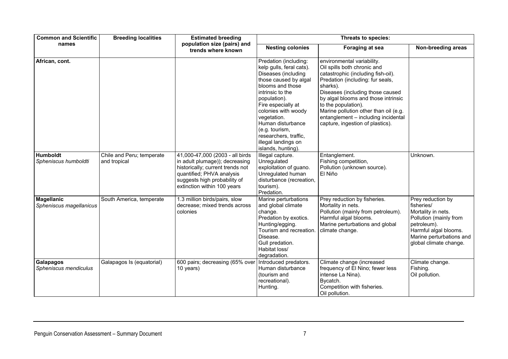| <b>Common and Scientific</b>                 | <b>Breeding localities</b>                | <b>Estimated breeding</b>                                                                                                                                                                         | Threats to species:                                                                                                                                                                                                                                                                                                                |                                                                                                                                                                                                                                                                                                                                                                       |                                                                                                                                                                               |  |
|----------------------------------------------|-------------------------------------------|---------------------------------------------------------------------------------------------------------------------------------------------------------------------------------------------------|------------------------------------------------------------------------------------------------------------------------------------------------------------------------------------------------------------------------------------------------------------------------------------------------------------------------------------|-----------------------------------------------------------------------------------------------------------------------------------------------------------------------------------------------------------------------------------------------------------------------------------------------------------------------------------------------------------------------|-------------------------------------------------------------------------------------------------------------------------------------------------------------------------------|--|
| names                                        |                                           | population size (pairs) and<br>trends where known                                                                                                                                                 | <b>Nesting colonies</b>                                                                                                                                                                                                                                                                                                            | Foraging at sea                                                                                                                                                                                                                                                                                                                                                       | Non-breeding areas                                                                                                                                                            |  |
| African, cont.                               |                                           |                                                                                                                                                                                                   | Predation (including:<br>kelp gulls, feral cats).<br>Diseases (including<br>those caused by algal<br>blooms and those<br>intrinsic to the<br>population).<br>Fire especially at<br>colonies with woody<br>vegetation.<br>Human disturbance<br>(e.g. tourism,<br>researchers, traffic,<br>illegal landings on<br>islands, hunting). | environmental variability.<br>Oil spills both chronic and<br>catastrophic (including fish-oil).<br>Predation (including: fur seals,<br>sharks).<br>Diseases (including those caused<br>by algal blooms and those intrinsic<br>to the population).<br>Marine pollution other than oil (e.g.<br>entanglement - including incidental<br>capture, ingestion of plastics). |                                                                                                                                                                               |  |
| <b>Humboldt</b><br>Spheniscus humboldti      | Chile and Peru; temperate<br>and tropical | 41,000-47,000 (2003 - all birds<br>in adult plumage)); decreasing<br>historically; current trends not<br>quantified; PHVA analysis<br>suggests high probability of<br>extinction within 100 years | Illegal capture.<br>Unregulated<br>exploitation of guano.<br>Unregulated human<br>disturbance (recreation,<br>tourism).<br>Predation.                                                                                                                                                                                              | Entanglement.<br>Fishing competition,<br>Pollution (unknown source).<br>El Niño                                                                                                                                                                                                                                                                                       | Unknown.                                                                                                                                                                      |  |
| <b>Magellanic</b><br>Spheniscus magellanicus | South America, temperate                  | 1.3 million birds/pairs, slow<br>decrease; mixed trends across<br>colonies                                                                                                                        | Marine perturbations<br>and global climate<br>change.<br>Predation by exotics.<br>Hunting/egging.<br>Tourism and recreation.<br>Disease.<br>Gull predation.<br>Habitat loss/<br>degradation.                                                                                                                                       | Prey reduction by fisheries.<br>Mortality in nets.<br>Pollution (mainly from petroleum).<br>Harmful algal blooms.<br>Marine perturbations and global<br>climate change.                                                                                                                                                                                               | Prey reduction by<br>fisheries/<br>Mortality in nets.<br>Pollution (mainly from<br>petroleum).<br>Harmful algal blooms.<br>Marine perturbations and<br>global climate change. |  |
| <b>Galapagos</b><br>Spheniscus mendiculus    | Galapagos Is (equatorial)                 | 600 pairs; decreasing (65% over<br>10 years)                                                                                                                                                      | Introduced predators.<br>Human disturbance<br>(tourism and<br>recreational).<br>Hunting.                                                                                                                                                                                                                                           | Climate change (increased<br>frequency of El Nino; fewer less<br>intense La Nina).<br>Bycatch.<br>Competition with fisheries.<br>Oil pollution.                                                                                                                                                                                                                       | Climate change.<br>Fishing.<br>Oil pollution.                                                                                                                                 |  |

#### Penguin Conservation Assessment – Summary Document 7 and 7 and 7 and 7 and 7 and 7 and 7 and 7 and 7 and 7 and 7 and 7 and 7 and 7 and 7 and 7 and 7 and 7 and 7 and 7 and 7 and 7 and 7 and 7 and 7 and 7 and 7 and 7 and 7 a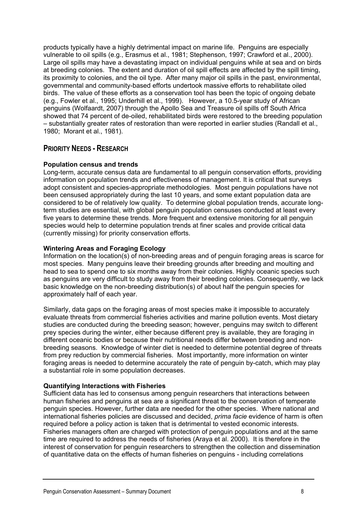products typically have a highly detrimental impact on marine life. Penguins are especially vulnerable to oil spills (e.g., Erasmus et al., 1981; Stephenson, 1997; Crawford et al., 2000). Large oil spills may have a devastating impact on individual penguins while at sea and on birds at breeding colonies. The extent and duration of oil spill effects are affected by the spill timing, its proximity to colonies, and the oil type. After many major oil spills in the past, environmental, governmental and community-based efforts undertook massive efforts to rehabilitate oiled birds. The value of these efforts as a conservation tool has been the topic of ongoing debate (e.g., Fowler et al., 1995; Underhill et al., 1999). However, a 10.5-year study of African penguins (Wolfaardt, 2007) through the Apollo Sea and Treasure oil spills off South Africa showed that 74 percent of de-oiled, rehabilitated birds were restored to the breeding population – substantially greater rates of restoration than were reported in earlier studies (Randall et al., 1980; Morant et al., 1981).

#### **PRIORITY NEEDS - RESEARCH**

#### **Population census and trends**

Long-term, accurate census data are fundamental to all penguin conservation efforts, providing information on population trends and effectiveness of management. It is critical that surveys adopt consistent and species-appropriate methodologies. Most penguin populations have not been censused appropriately during the last 10 years, and some extant population data are considered to be of relatively low quality. To determine global population trends, accurate longterm studies are essential, with global penguin population censuses conducted at least every five years to determine these trends. More frequent and extensive monitoring for all penguin species would help to determine population trends at finer scales and provide critical data (currently missing) for priority conservation efforts.

#### **Wintering Areas and Foraging Ecology**

Information on the location(s) of non-breeding areas and of penguin foraging areas is scarce for most species. Many penguins leave their breeding grounds after breeding and moulting and head to sea to spend one to six months away from their colonies. Highly oceanic species such as penguins are very difficult to study away from their breeding colonies. Consequently, we lack basic knowledge on the non-breeding distribution(s) of about half the penguin species for approximately half of each year.

Similarly, data gaps on the foraging areas of most species make it impossible to accurately evaluate threats from commercial fisheries activities and marine pollution events. Most dietary studies are conducted during the breeding season; however, penguins may switch to different prey species during the winter, either because different prey is available, they are foraging in different oceanic bodies or because their nutritional needs differ between breeding and nonbreeding seasons. Knowledge of winter diet is needed to determine potential degree of threats from prey reduction by commercial fisheries. Most importantly, more information on winter foraging areas is needed to determine accurately the rate of penguin by-catch, which may play a substantial role in some population decreases.

#### **Quantifying Interactions with Fisheries**

Sufficient data has led to consensus among penguin researchers that interactions between human fisheries and penguins at sea are a significant threat to the conservation of temperate penguin species. However, further data are needed for the other species. Where national and international fisheries policies are discussed and decided, *prima facie* evidence of harm is often required before a policy action is taken that is detrimental to vested economic interests. Fisheries managers often are charged with protection of penguin populations and at the same time are required to address the needs of fisheries (Araya et al. 2000). It is therefore in the interest of conservation for penguin researchers to strengthen the collection and dissemination of quantitative data on the effects of human fisheries on penguins - including correlations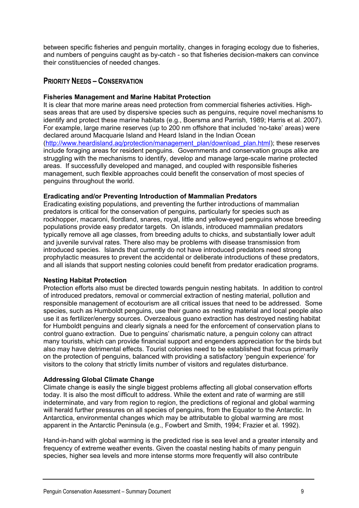between specific fisheries and penguin mortality, changes in foraging ecology due to fisheries, and numbers of penguins caught as by-catch - so that fisheries decision-makers can convince their constituencies of needed changes.

#### **PRIORITY NEEDS – CONSERVATION**

#### **Fisheries Management and Marine Habitat Protection**

It is clear that more marine areas need protection from commercial fisheries activities. Highseas areas that are used by dispersive species such as penguins, require novel mechanisms to identify and protect these marine habitats (e.g., Boersma and Parrish, 1989; Harris et al. 2007). For example, large marine reserves (up to 200 nm offshore that included 'no-take' areas) were declared around Macquarie Island and Heard Island in the Indian Ocean ([http://www.heardisland.aq/protection/management\\_plan/download\\_plan.html\)](http://www.heardisland.aq/protection/management_plan/download_plan.html); these reserves include foraging areas for resident penguins. Governments and conservation groups alike are struggling with the mechanisms to identify, develop and manage large-scale marine protected areas. If successfully developed and managed, and coupled with responsible fisheries management, such flexible approaches could benefit the conservation of most species of penguins throughout the world.

#### **Eradicating and/or Preventing Introduction of Mammalian Predators**

Eradicating existing populations, and preventing the further introductions of mammalian predators is critical for the conservation of penguins, particularly for species such as rockhopper, macaroni, fiordland, snares, royal, little and yellow-eyed penguins whose breeding populations provide easy predator targets. On islands, introduced mammalian predators typically remove all age classes, from breeding adults to chicks, and substantially lower adult and juvenile survival rates. There also may be problems with disease transmission from introduced species. Islands that currently do not have introduced predators need strong prophylactic measures to prevent the accidental or deliberate introductions of these predators, and all islands that support nesting colonies could benefit from predator eradication programs.

#### **Nesting Habitat Protection**

Protection efforts also must be directed towards penguin nesting habitats. In addition to control of introduced predators, removal or commercial extraction of nesting material, pollution and responsible management of ecotourism are all critical issues that need to be addressed. Some species, such as Humboldt penguins, use their guano as nesting material and local people also use it as fertilizer/energy sources. Overzealous guano extraction has destroyed nesting habitat for Humboldt penguins and clearly signals a need for the enforcement of conservation plans to control guano extraction. Due to penguins' charismatic nature, a penguin colony can attract many tourists, which can provide financial support and engenders appreciation for the birds but also may have detrimental effects. Tourist colonies need to be established that focus primarily on the protection of penguins, balanced with providing a satisfactory 'penguin experience' for visitors to the colony that strictly limits number of visitors and regulates disturbance.

#### **Addressing Global Climate Change**

Climate change is easily the single biggest problems affecting all global conservation efforts today. It is also the most difficult to address. While the extent and rate of warming are still indeterminate, and vary from region to region, the predictions of regional and global warming will herald further pressures on all species of penguins, from the Equator to the Antarctic. In Antarctica, environmental changes which may be attributable to global warming are most apparent in the Antarctic Peninsula (e.g., Fowbert and Smith, 1994; Frazier et al. 1992).

Hand-in-hand with global warming is the predicted rise is sea level and a greater intensity and frequency of extreme weather events. Given the coastal nesting habits of many penguin species, higher sea levels and more intense storms more frequently will also contribute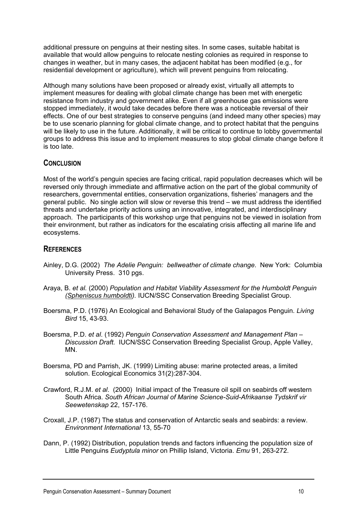additional pressure on penguins at their nesting sites. In some cases, suitable habitat is available that would allow penguins to relocate nesting colonies as required in response to changes in weather, but in many cases, the adjacent habitat has been modified (e.g., for residential development or agriculture), which will prevent penguins from relocating.

Although many solutions have been proposed or already exist, virtually all attempts to implement measures for dealing with global climate change has been met with energetic resistance from industry and government alike. Even if all greenhouse gas emissions were stopped immediately, it would take decades before there was a noticeable reversal of their effects. One of our best strategies to conserve penguins (and indeed many other species) may be to use scenario planning for global climate change, and to protect habitat that the penguins will be likely to use in the future. Additionally, it will be critical to continue to lobby governmental groups to address this issue and to implement measures to stop global climate change before it is too late.

#### **CONCLUSION**

Most of the world's penguin species are facing critical, rapid population decreases which will be reversed only through immediate and affirmative action on the part of the global community of researchers, governmental entities, conservation organizations, fisheries' managers and the general public. No single action will slow or reverse this trend – we must address the identified threats and undertake priority actions using an innovative, integrated, and interdisciplinary approach. The participants of this workshop urge that penguins not be viewed in isolation from their environment, but rather as indicators for the escalating crisis affecting all marine life and ecosystems.

#### **REFERENCES**

- Ainley, D.G. (2002) *The Adelie Penguin: bellweather of climate change*. New York: Columbia University Press. 310 pgs.
- Araya, B. *et al.* (2000) *Population and Habitat Viability Assessment for the Humboldt Penguin (Spheniscus humboldti).* IUCN/SSC Conservation Breeding Specialist Group.
- Boersma, P.D. (1976) An Ecological and Behavioral Study of the Galapagos Penguin. *Living Bird* 15, 43-93.
- Boersma, P.D. *et al*. (1992) *Penguin Conservation Assessment and Management Plan Discussion Draft.* IUCN/SSC Conservation Breeding Specialist Group, Apple Valley, MN.
- Boersma, PD and Parrish, JK. (1999) Limiting abuse: marine protected areas, a limited solution. Ecological Economics 31(2):287-304.
- Crawford, R.J.M. *et al*. (2000) Initial impact of the Treasure oil spill on seabirds off western South Africa. *South African Journal of Marine Science-Suid-Afrikaanse Tydskrif vir Seewetenskap* 22, 157-176.
- Croxall, J.P. (1987) The status and conservation of Antarctic seals and seabirds: a review. *Environment International* 13, 55-70
- Dann, P. (1992) Distribution, population trends and factors influencing the population size of Little Penguins *Eudyptula minor* on Phillip Island, Victoria. *Emu* 91, 263-272.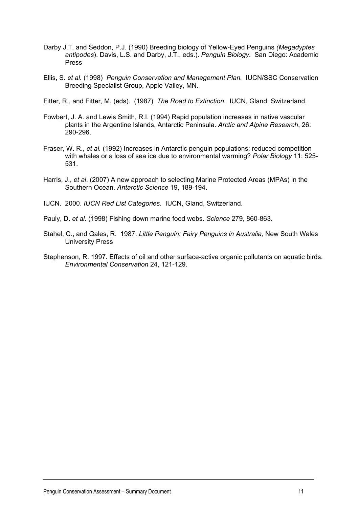- Darby J.T. and Seddon, P.J. (1990) Breeding biology of Yellow-Eyed Penguins *(Megadyptes antipodes*). Davis, L.S. and Darby, J.T., eds.). *Penguin Biology.* San Diego: Academic Press
- Ellis, S. *et al.* (1998) *Penguin Conservation and Management Plan.* IUCN/SSC Conservation Breeding Specialist Group, Apple Valley, MN.

Fitter, R., and Fitter, M. (eds). (1987) *The Road to Extinction*. IUCN, Gland, Switzerland.

- Fowbert, J. A. and Lewis Smith, R.I. (1994) Rapid population increases in native vascular plants in the Argentine Islands, Antarctic Peninsula. *Arctic and Alpine Research*, 26: 290-296.
- Fraser, W. R., *et al.* (1992) Increases in Antarctic penguin populations: reduced competition with whales or a loss of sea ice due to environmental warming? *Polar Biology* 11: 525- 531.
- Harris, J., *et al*. (2007) A new approach to selecting Marine Protected Areas (MPAs) in the Southern Ocean. *Antarctic Science* 19, 189-194.
- IUCN. 2000. *IUCN Red List Categories*. IUCN, Gland, Switzerland.
- Pauly, D. *et al.* (1998) Fishing down marine food webs. *Science* 279, 860-863.
- Stahel, C., and Gales, R. 1987. *Little Penguin: Fairy Penguins in Australia,* New South Wales University Press
- Stephenson, R. 1997. Effects of oil and other surface-active organic pollutants on aquatic birds. *Environmental Conservation* 24, 121-129.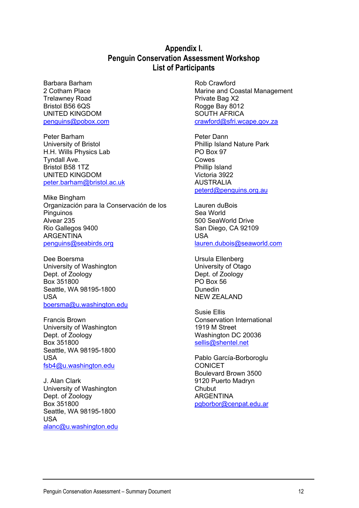#### **Appendix I. Penguin Conservation Assessment Workshop List of Participants**

Barbara Barham 2 Cotham Place Trelawney Road Bristol B56 6QS UNITED KINGDOM [penguins@pobox.com](mailto:penguins@pobox.com)

Peter Barham University of Bristol H.H. Wills Physics Lab Tyndall Ave. Bristol B58 1TZ UNITED KINGDOM [peter.barham@bristol.ac.uk](mailto:peter.barham@bristol.ac.uk)

Mike Bingham Organización para la Conservación de los Pinguinos Alvear 235 Rio Gallegos 9400 ARGENTINA [penguins@seabirds.org](mailto:penguins@seabirds.org)

Dee Boersma University of Washington Dept. of Zoology Box 351800 Seattle, WA 98195-1800 USA [boersma@u.washington.edu](mailto:boersma@u.washington.edu)

Francis Brown University of Washington Dept. of Zoology Box 351800 Seattle, WA 98195-1800 USA [fsb4@u.washington.edu](mailto:fsb4@u.washington.edu)

J. Alan Clark University of Washington Dept. of Zoology Box 351800 Seattle, WA 98195-1800 USA [alanc@u.washington.edu](mailto:alanc@u.washington.edu) Rob Crawford Marine and Coastal Management Private Bag X2 Rogge Bay 8012 SOUTH AFRICA [crawford@sfri.wcape.gov.za](mailto:crawford@sfri.wcape.gov.za)

Peter Dann Phillip Island Nature Park PO Box 97 Cowes Phillip Island Victoria 3922 AUSTRALIA [peterd@penguins.org.au](mailto:peterd@penguins.org.au)

Lauren duBois Sea World 500 SeaWorld Drive San Diego, CA 92109 USA [lauren.dubois@seaworld.com](mailto:lauren.dubois@seaworld.com)

Ursula Ellenberg University of Otago Dept. of Zoology PO Box 56 Dunedin NEW ZEALAND

Susie Ellis Conservation International 1919 M Street Washington DC 20036 [sellis@shentel.net](mailto:sellis@shentel.net)

Pablo García-Borboroglu CONICET Boulevard Brown 3500 9120 Puerto Madryn Chubut ARGENTINA [pgborbor@cenpat.edu.ar](mailto:pgborbor@cenpat.edu.ar)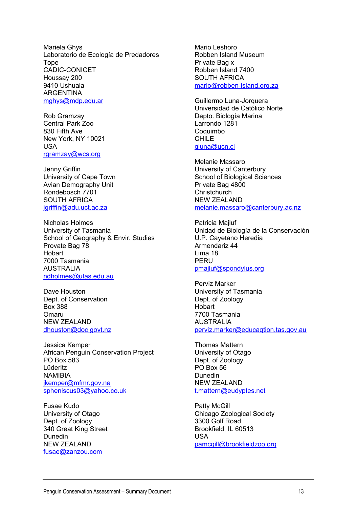Mariela Ghys Laboratorio de Ecología de Predadores Tope CADIC-CONICET Houssay 200 9410 Ushuaia ARGENTINA [mghys@mdp.edu.ar](mailto:mghys@mdp.edu.ar)

Rob Gramzay Central Park Zoo 830 Fifth Ave New York, NY 10021 USA [rgramzay@wcs.org](mailto:rgramzay@wcs.org)

Jenny Griffin University of Cape Town Avian Demography Unit Rondebosch 7701 SOUTH AFRICA [jgriffin@adu.uct.ac.za](mailto:jgriffin@adu.uct.ac.za)

Nicholas Holmes University of Tasmania School of Geography & Envir. Studies Provate Bag 78 **Hobart** 7000 Tasmania AUSTRALIA [ndholmes@utas.edu.au](mailto:ndholmes@utas.edu.au)

Dave Houston Dept. of Conservation Box 388 Omaru NEW ZEALAND [dhouston@doc.govt.nz](mailto:dhouston@doc.govt.nz)

Jessica Kemper African Penguin Conservation Project PO Box 583 Lüderitz NAMIBIA [jkemper@mfmr.gov.na](mailto:jkemper@mfmr.gov.na) [spheniscus03@yahoo.co.uk](mailto:spheniscus03@yahoo.co.uk)

Fusae Kudo University of Otago Dept. of Zoology 340 Great King Street Dunedin NEW ZEALAND [fusae@zanzou.com](mailto:fusae@zanzou.com)

Mario Leshoro Robben Island Museum Private Bag x Robben Island 7400 SOUTH AFRICA [mario@robben-island.org.za](mailto:mario@robben-island.org.za)

Guillermo Luna-Jorquera Universidad de Católico Norte Depto. Biología Marina Larrondo 1281 **Coquimbo** CHILE [gluna@ucn.cl](mailto:gluna@ucn.cl)

Melanie Massaro University of Canterbury School of Biological Sciences Private Bag 4800 **Christchurch** NEW ZEALAND [melanie.massaro@canterbury.ac.nz](mailto:melanie.massaro@canterbury.ac.nz)

Patricia Majluf Unidad de Biología de la Conservación U.P. Cayetano Heredia Armendariz 44 Lima 18 PERU [pmajluf@spondylus.org](mailto:pmajluf@spondylus.org)

Perviz Marker University of Tasmania Dept. of Zoology **Hobart** 7700 Tasmania AUSTRALIA [perviz.marker@educaqtion.tas.gov.au](mailto:perviz.marker@educaqtion.tas.gov.au)

Thomas Mattern University of Otago Dept. of Zoology PO Box 56 Dunedin NEW ZEALAND [t.mattern@eudyptes.net](mailto:t.mattern@eudyptes.net)

Patty McGill Chicago Zoological Society 3300 Golf Road Brookfield, IL 60513 USA [pamcgill@brookfieldzoo.org](mailto:pamcgill@brookfieldzoo.org)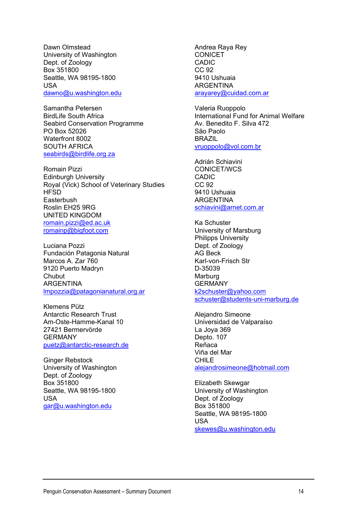Dawn Olmstead University of Washington Dept. of Zoology Box 351800 Seattle, WA 98195-1800 USA [dawno@u.washington.edu](mailto:dawno@u.washington.edu)

Samantha Petersen BirdLife South Africa Seabird Conservation Programme PO Box 52026 Waterfront 8002 SOUTH AFRICA [seabirds@birdlife.org.za](mailto:seabirds@birdlife.org.za)

Romain Pizzi Edinburgh University Royal (Vick) School of Veterinary Studies **HFSD Easterbush** Roslin EH25 9RG UNITED KINGDOM [romain.pizzi@ed.ac.uk](mailto:romain.pizzi@ed.ac.uk) [romainp@bigfoot.com](mailto:romainp@bigfoot.com)

Luciana Pozzi Fundación Patagonia Natural Marcos A. Zar 760 9120 Puerto Madryn **Chubut** ARGENTINA [lmpozzia@patagonianatural.org.ar](mailto:lmpozzia@patagonianatural.org.ar)

Klemens Pütz Antarctic Research Trust Am-Oste-Hamme-Kanal 10 27421 Bermervörde GERMANY [puetz@antarctic-research.de](mailto:puetz@antarctic-research.de)

Ginger Rebstock University of Washington Dept. of Zoology Box 351800 Seattle, WA 98195-1800 USA [gar@u.washington.edu](mailto:gar@u.washington.edu)

Andrea Raya Rey **CONICET** CADIC CC 92 9410 Ushuaia ARGENTINA [arayarey@cuidad.com.ar](mailto:arayarey@cuidad.com.ar)

Valeria Ruoppolo International Fund for Animal Welfare Av. Benedito F. Silva 472 São Paolo **BRAZIL** [vruoppolo@vol.com.br](mailto:vruoppolo@vol.com.br)

Adrián Schiavini CONICET/WCS CADIC CC 92 9410 Ushuaia ARGENTINA [schiavini@arnet.com.ar](mailto:schiavini@arnet.com.ar)

Ka Schuster University of Marsburg Philipps University Dept. of Zoology AG Beck Karl-von-Frisch Str D-35039 Marburg **GERMANY** [k2schuster@yahoo.com](mailto:k2schuster@yahoo.com) [schuster@students-uni-marburg.de](mailto:schuster@students-uni-marburg.de)

Alejandro Simeone Universidad de Valparaíso La Joya 369 Depto. 107 Reñaca Viña del Mar CHILE [alejandrosimeone@hotmail.com](mailto:alejandrosimeone@hotmail.com)

Elizabeth Skewgar University of Washington Dept. of Zoology Box 351800 Seattle, WA 98195-1800 USA [skewes@u.washington.edu](mailto:skewes@u.washington.edu)